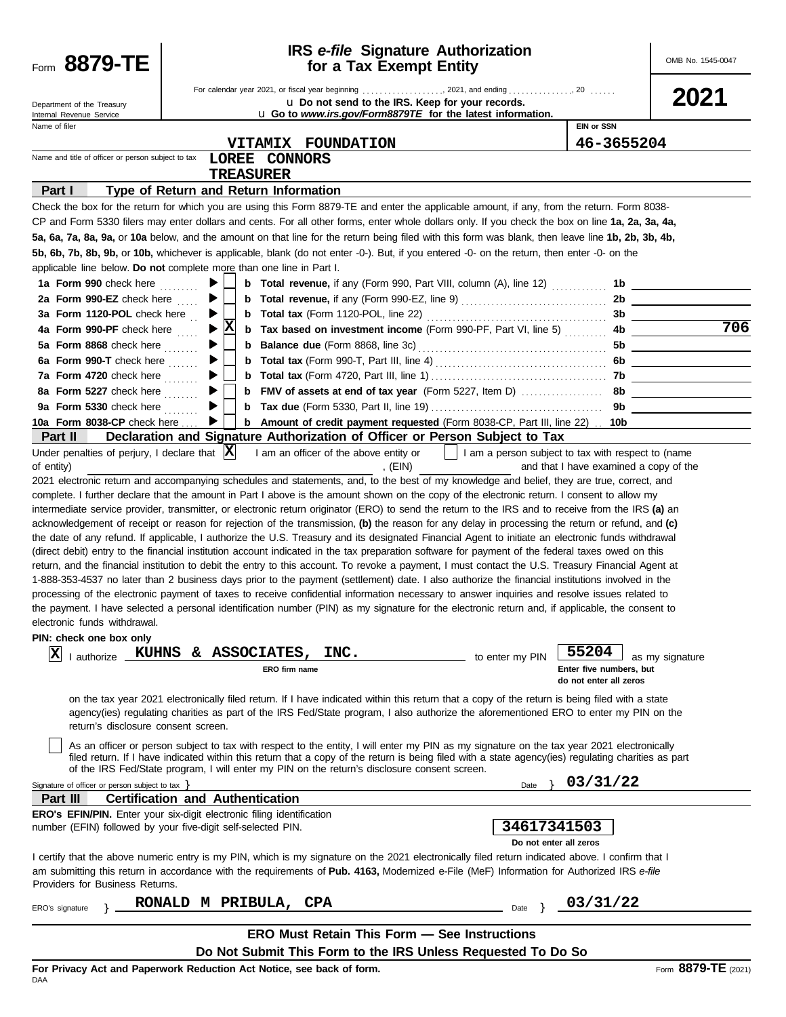| Form 8879-TE                                                                                                                                                                                                                                |   |   |                                       | for a Tax Exempt Entity | <b>IRS</b> e-file Signature Authorization                                                                                                                                                                                                                                                                                                                                                                                                                                                                                                                                                                                                                                                                                                                                                                                                                                                                                                                                                                                                                                                                                                                                                                                                                                                                                                                                                                                                                                                                                                                                                                                                                                                                                                                                                                                                                                                                                                                                                                                                                                                                                                        |                                                                                                      | OMB No. 1545-0047                            |
|---------------------------------------------------------------------------------------------------------------------------------------------------------------------------------------------------------------------------------------------|---|---|---------------------------------------|-------------------------|--------------------------------------------------------------------------------------------------------------------------------------------------------------------------------------------------------------------------------------------------------------------------------------------------------------------------------------------------------------------------------------------------------------------------------------------------------------------------------------------------------------------------------------------------------------------------------------------------------------------------------------------------------------------------------------------------------------------------------------------------------------------------------------------------------------------------------------------------------------------------------------------------------------------------------------------------------------------------------------------------------------------------------------------------------------------------------------------------------------------------------------------------------------------------------------------------------------------------------------------------------------------------------------------------------------------------------------------------------------------------------------------------------------------------------------------------------------------------------------------------------------------------------------------------------------------------------------------------------------------------------------------------------------------------------------------------------------------------------------------------------------------------------------------------------------------------------------------------------------------------------------------------------------------------------------------------------------------------------------------------------------------------------------------------------------------------------------------------------------------------------------------------|------------------------------------------------------------------------------------------------------|----------------------------------------------|
| Department of the Treasury<br>Internal Revenue Service                                                                                                                                                                                      |   |   |                                       |                         | u Do not send to the IRS. Keep for your records.<br>u Go to www.irs.gov/Form8879TE for the latest information.                                                                                                                                                                                                                                                                                                                                                                                                                                                                                                                                                                                                                                                                                                                                                                                                                                                                                                                                                                                                                                                                                                                                                                                                                                                                                                                                                                                                                                                                                                                                                                                                                                                                                                                                                                                                                                                                                                                                                                                                                                   |                                                                                                      | 2021                                         |
| Name of filer                                                                                                                                                                                                                               |   |   |                                       |                         |                                                                                                                                                                                                                                                                                                                                                                                                                                                                                                                                                                                                                                                                                                                                                                                                                                                                                                                                                                                                                                                                                                                                                                                                                                                                                                                                                                                                                                                                                                                                                                                                                                                                                                                                                                                                                                                                                                                                                                                                                                                                                                                                                  | <b>EIN or SSN</b>                                                                                    |                                              |
|                                                                                                                                                                                                                                             |   |   |                                       | VITAMIX FOUNDATION      |                                                                                                                                                                                                                                                                                                                                                                                                                                                                                                                                                                                                                                                                                                                                                                                                                                                                                                                                                                                                                                                                                                                                                                                                                                                                                                                                                                                                                                                                                                                                                                                                                                                                                                                                                                                                                                                                                                                                                                                                                                                                                                                                                  | 46-3655204                                                                                           |                                              |
| Name and title of officer or person subject to tax                                                                                                                                                                                          |   |   | LOREE CONNORS                         |                         |                                                                                                                                                                                                                                                                                                                                                                                                                                                                                                                                                                                                                                                                                                                                                                                                                                                                                                                                                                                                                                                                                                                                                                                                                                                                                                                                                                                                                                                                                                                                                                                                                                                                                                                                                                                                                                                                                                                                                                                                                                                                                                                                                  |                                                                                                      |                                              |
|                                                                                                                                                                                                                                             |   |   | <b>TREASURER</b>                      |                         |                                                                                                                                                                                                                                                                                                                                                                                                                                                                                                                                                                                                                                                                                                                                                                                                                                                                                                                                                                                                                                                                                                                                                                                                                                                                                                                                                                                                                                                                                                                                                                                                                                                                                                                                                                                                                                                                                                                                                                                                                                                                                                                                                  |                                                                                                      |                                              |
| Part I                                                                                                                                                                                                                                      |   |   | Type of Return and Return Information |                         |                                                                                                                                                                                                                                                                                                                                                                                                                                                                                                                                                                                                                                                                                                                                                                                                                                                                                                                                                                                                                                                                                                                                                                                                                                                                                                                                                                                                                                                                                                                                                                                                                                                                                                                                                                                                                                                                                                                                                                                                                                                                                                                                                  |                                                                                                      |                                              |
|                                                                                                                                                                                                                                             |   |   |                                       |                         | Check the box for the return for which you are using this Form 8879-TE and enter the applicable amount, if any, from the return. Form 8038-                                                                                                                                                                                                                                                                                                                                                                                                                                                                                                                                                                                                                                                                                                                                                                                                                                                                                                                                                                                                                                                                                                                                                                                                                                                                                                                                                                                                                                                                                                                                                                                                                                                                                                                                                                                                                                                                                                                                                                                                      |                                                                                                      |                                              |
|                                                                                                                                                                                                                                             |   |   |                                       |                         | CP and Form 5330 filers may enter dollars and cents. For all other forms, enter whole dollars only. If you check the box on line 1a, 2a, 3a, 4a,                                                                                                                                                                                                                                                                                                                                                                                                                                                                                                                                                                                                                                                                                                                                                                                                                                                                                                                                                                                                                                                                                                                                                                                                                                                                                                                                                                                                                                                                                                                                                                                                                                                                                                                                                                                                                                                                                                                                                                                                 |                                                                                                      |                                              |
|                                                                                                                                                                                                                                             |   |   |                                       |                         | 5a, 6a, 7a, 8a, 9a, or 10a below, and the amount on that line for the return being filed with this form was blank, then leave line 1b, 2b, 3b, 4b,<br>5b, 6b, 7b, 8b, 9b, or 10b, whichever is applicable, blank (do not enter -0-). But, if you entered -0- on the return, then enter -0- on the                                                                                                                                                                                                                                                                                                                                                                                                                                                                                                                                                                                                                                                                                                                                                                                                                                                                                                                                                                                                                                                                                                                                                                                                                                                                                                                                                                                                                                                                                                                                                                                                                                                                                                                                                                                                                                                |                                                                                                      |                                              |
| applicable line below. Do not complete more than one line in Part I.                                                                                                                                                                        |   |   |                                       |                         |                                                                                                                                                                                                                                                                                                                                                                                                                                                                                                                                                                                                                                                                                                                                                                                                                                                                                                                                                                                                                                                                                                                                                                                                                                                                                                                                                                                                                                                                                                                                                                                                                                                                                                                                                                                                                                                                                                                                                                                                                                                                                                                                                  |                                                                                                      |                                              |
| 1a Form 990 check here                                                                                                                                                                                                                      |   |   |                                       |                         | <b>b</b> Total revenue, if any (Form 990, Part VIII, column (A), line 12)                                                                                                                                                                                                                                                                                                                                                                                                                                                                                                                                                                                                                                                                                                                                                                                                                                                                                                                                                                                                                                                                                                                                                                                                                                                                                                                                                                                                                                                                                                                                                                                                                                                                                                                                                                                                                                                                                                                                                                                                                                                                        | 1b.                                                                                                  | <u> 1989 - Johann Barn, fransk politik (</u> |
| 2a Form 990-EZ check here                                                                                                                                                                                                                   | ▶ | b |                                       |                         |                                                                                                                                                                                                                                                                                                                                                                                                                                                                                                                                                                                                                                                                                                                                                                                                                                                                                                                                                                                                                                                                                                                                                                                                                                                                                                                                                                                                                                                                                                                                                                                                                                                                                                                                                                                                                                                                                                                                                                                                                                                                                                                                                  |                                                                                                      | 2b                                           |
| 3a Form 1120-POL check here                                                                                                                                                                                                                 | ▶ |   |                                       |                         |                                                                                                                                                                                                                                                                                                                                                                                                                                                                                                                                                                                                                                                                                                                                                                                                                                                                                                                                                                                                                                                                                                                                                                                                                                                                                                                                                                                                                                                                                                                                                                                                                                                                                                                                                                                                                                                                                                                                                                                                                                                                                                                                                  |                                                                                                      |                                              |
| 4a Form 990-PF check here                                                                                                                                                                                                                   | ▶ | x |                                       |                         | b Tax based on investment income (Form 990-PF, Part VI, line 5)  4b ______________                                                                                                                                                                                                                                                                                                                                                                                                                                                                                                                                                                                                                                                                                                                                                                                                                                                                                                                                                                                                                                                                                                                                                                                                                                                                                                                                                                                                                                                                                                                                                                                                                                                                                                                                                                                                                                                                                                                                                                                                                                                               |                                                                                                      | 706                                          |
| 5a Form 8868 check here                                                                                                                                                                                                                     |   |   |                                       |                         |                                                                                                                                                                                                                                                                                                                                                                                                                                                                                                                                                                                                                                                                                                                                                                                                                                                                                                                                                                                                                                                                                                                                                                                                                                                                                                                                                                                                                                                                                                                                                                                                                                                                                                                                                                                                                                                                                                                                                                                                                                                                                                                                                  |                                                                                                      |                                              |
| 6a Form 990-T check here $\ldots$                                                                                                                                                                                                           |   |   |                                       |                         |                                                                                                                                                                                                                                                                                                                                                                                                                                                                                                                                                                                                                                                                                                                                                                                                                                                                                                                                                                                                                                                                                                                                                                                                                                                                                                                                                                                                                                                                                                                                                                                                                                                                                                                                                                                                                                                                                                                                                                                                                                                                                                                                                  |                                                                                                      |                                              |
| 7a Form 4720 check here $\ldots$                                                                                                                                                                                                            |   | b |                                       |                         |                                                                                                                                                                                                                                                                                                                                                                                                                                                                                                                                                                                                                                                                                                                                                                                                                                                                                                                                                                                                                                                                                                                                                                                                                                                                                                                                                                                                                                                                                                                                                                                                                                                                                                                                                                                                                                                                                                                                                                                                                                                                                                                                                  |                                                                                                      |                                              |
| 8a Form 5227 check here $\ldots$                                                                                                                                                                                                            |   | b |                                       |                         |                                                                                                                                                                                                                                                                                                                                                                                                                                                                                                                                                                                                                                                                                                                                                                                                                                                                                                                                                                                                                                                                                                                                                                                                                                                                                                                                                                                                                                                                                                                                                                                                                                                                                                                                                                                                                                                                                                                                                                                                                                                                                                                                                  |                                                                                                      |                                              |
| 9a Form 5330 check here                                                                                                                                                                                                                     |   | b |                                       |                         |                                                                                                                                                                                                                                                                                                                                                                                                                                                                                                                                                                                                                                                                                                                                                                                                                                                                                                                                                                                                                                                                                                                                                                                                                                                                                                                                                                                                                                                                                                                                                                                                                                                                                                                                                                                                                                                                                                                                                                                                                                                                                                                                                  | 9b                                                                                                   |                                              |
| 10a Form 8038-CP check here                                                                                                                                                                                                                 |   |   |                                       |                         | b Amount of credit payment requested (Form 8038-CP, Part III, line 22) . 10b                                                                                                                                                                                                                                                                                                                                                                                                                                                                                                                                                                                                                                                                                                                                                                                                                                                                                                                                                                                                                                                                                                                                                                                                                                                                                                                                                                                                                                                                                                                                                                                                                                                                                                                                                                                                                                                                                                                                                                                                                                                                     |                                                                                                      |                                              |
| Part II<br>Under penalties of perjury, I declare that $ \mathbf{X} $                                                                                                                                                                        |   |   |                                       |                         | Declaration and Signature Authorization of Officer or Person Subject to Tax<br>I am an officer of the above entity or     I am a person subject to tax with respect to (name                                                                                                                                                                                                                                                                                                                                                                                                                                                                                                                                                                                                                                                                                                                                                                                                                                                                                                                                                                                                                                                                                                                                                                                                                                                                                                                                                                                                                                                                                                                                                                                                                                                                                                                                                                                                                                                                                                                                                                     |                                                                                                      |                                              |
| of entity)<br>electronic funds withdrawal.<br>PIN: check one box only<br> x <br>KUHNS<br>I authorize<br>return's disclosure consent screen.<br>of the IRS Fed/State program, I will enter my PIN on the return's disclosure consent screen. |   |   | & ASSOCIATES,<br>ERO firm name        | , (EIN)<br>INC.         | 2021 electronic return and accompanying schedules and statements, and, to the best of my knowledge and belief, they are true, correct, and<br>complete. I further declare that the amount in Part I above is the amount shown on the copy of the electronic return. I consent to allow my<br>intermediate service provider, transmitter, or electronic return originator (ERO) to send the return to the IRS and to receive from the IRS (a) an<br>acknowledgement of receipt or reason for rejection of the transmission, (b) the reason for any delay in processing the return or refund, and (c)<br>the date of any refund. If applicable, I authorize the U.S. Treasury and its designated Financial Agent to initiate an electronic funds withdrawal<br>(direct debit) entry to the financial institution account indicated in the tax preparation software for payment of the federal taxes owed on this<br>return, and the financial institution to debit the entry to this account. To revoke a payment, I must contact the U.S. Treasury Financial Agent at<br>1-888-353-4537 no later than 2 business days prior to the payment (settlement) date. I also authorize the financial institutions involved in the<br>processing of the electronic payment of taxes to receive confidential information necessary to answer inquiries and resolve issues related to<br>the payment. I have selected a personal identification number (PIN) as my signature for the electronic return and, if applicable, the consent to<br>to enter my PIN<br>on the tax year 2021 electronically filed return. If I have indicated within this return that a copy of the return is being filed with a state<br>agency(ies) regulating charities as part of the IRS Fed/State program, I also authorize the aforementioned ERO to enter my PIN on the<br>As an officer or person subject to tax with respect to the entity, I will enter my PIN as my signature on the tax year 2021 electronically<br>filed return. If I have indicated within this return that a copy of the return is being filed with a state agency(ies) regulating charities as part | and that I have examined a copy of the<br>55204<br>Enter five numbers, but<br>do not enter all zeros | as my signature                              |
| Signature of officer or person subject to tax }                                                                                                                                                                                             |   |   |                                       |                         | Date                                                                                                                                                                                                                                                                                                                                                                                                                                                                                                                                                                                                                                                                                                                                                                                                                                                                                                                                                                                                                                                                                                                                                                                                                                                                                                                                                                                                                                                                                                                                                                                                                                                                                                                                                                                                                                                                                                                                                                                                                                                                                                                                             | 03/31/22                                                                                             |                                              |
| <b>Certification and Authentication</b><br>Part III                                                                                                                                                                                         |   |   |                                       |                         |                                                                                                                                                                                                                                                                                                                                                                                                                                                                                                                                                                                                                                                                                                                                                                                                                                                                                                                                                                                                                                                                                                                                                                                                                                                                                                                                                                                                                                                                                                                                                                                                                                                                                                                                                                                                                                                                                                                                                                                                                                                                                                                                                  |                                                                                                      |                                              |
| <b>ERO's EFIN/PIN.</b> Enter your six-digit electronic filing identification<br>number (EFIN) followed by your five-digit self-selected PIN.                                                                                                |   |   |                                       |                         |                                                                                                                                                                                                                                                                                                                                                                                                                                                                                                                                                                                                                                                                                                                                                                                                                                                                                                                                                                                                                                                                                                                                                                                                                                                                                                                                                                                                                                                                                                                                                                                                                                                                                                                                                                                                                                                                                                                                                                                                                                                                                                                                                  | 34617341503                                                                                          |                                              |
| Providers for Business Returns.                                                                                                                                                                                                             |   |   |                                       |                         | I certify that the above numeric entry is my PIN, which is my signature on the 2021 electronically filed return indicated above. I confirm that I<br>am submitting this return in accordance with the requirements of Pub. 4163, Modernized e-File (MeF) Information for Authorized IRS e-file                                                                                                                                                                                                                                                                                                                                                                                                                                                                                                                                                                                                                                                                                                                                                                                                                                                                                                                                                                                                                                                                                                                                                                                                                                                                                                                                                                                                                                                                                                                                                                                                                                                                                                                                                                                                                                                   | Do not enter all zeros                                                                               |                                              |
| ERO's signature                                                                                                                                                                                                                             |   |   | RONALD M PRIBULA, CPA                 |                         | Date                                                                                                                                                                                                                                                                                                                                                                                                                                                                                                                                                                                                                                                                                                                                                                                                                                                                                                                                                                                                                                                                                                                                                                                                                                                                                                                                                                                                                                                                                                                                                                                                                                                                                                                                                                                                                                                                                                                                                                                                                                                                                                                                             | 03/31/22                                                                                             |                                              |
|                                                                                                                                                                                                                                             |   |   |                                       |                         | <b>ERO Must Retain This Form - See Instructions</b>                                                                                                                                                                                                                                                                                                                                                                                                                                                                                                                                                                                                                                                                                                                                                                                                                                                                                                                                                                                                                                                                                                                                                                                                                                                                                                                                                                                                                                                                                                                                                                                                                                                                                                                                                                                                                                                                                                                                                                                                                                                                                              |                                                                                                      |                                              |
|                                                                                                                                                                                                                                             |   |   |                                       |                         | Do Not Submit This Form to the IRS Unless Requested To Do So                                                                                                                                                                                                                                                                                                                                                                                                                                                                                                                                                                                                                                                                                                                                                                                                                                                                                                                                                                                                                                                                                                                                                                                                                                                                                                                                                                                                                                                                                                                                                                                                                                                                                                                                                                                                                                                                                                                                                                                                                                                                                     |                                                                                                      |                                              |
| For Privacy Act and Paperwork Reduction Act Notice, see back of form.<br>DAA                                                                                                                                                                |   |   |                                       |                         |                                                                                                                                                                                                                                                                                                                                                                                                                                                                                                                                                                                                                                                                                                                                                                                                                                                                                                                                                                                                                                                                                                                                                                                                                                                                                                                                                                                                                                                                                                                                                                                                                                                                                                                                                                                                                                                                                                                                                                                                                                                                                                                                                  |                                                                                                      | Form 8879-TE (2021)                          |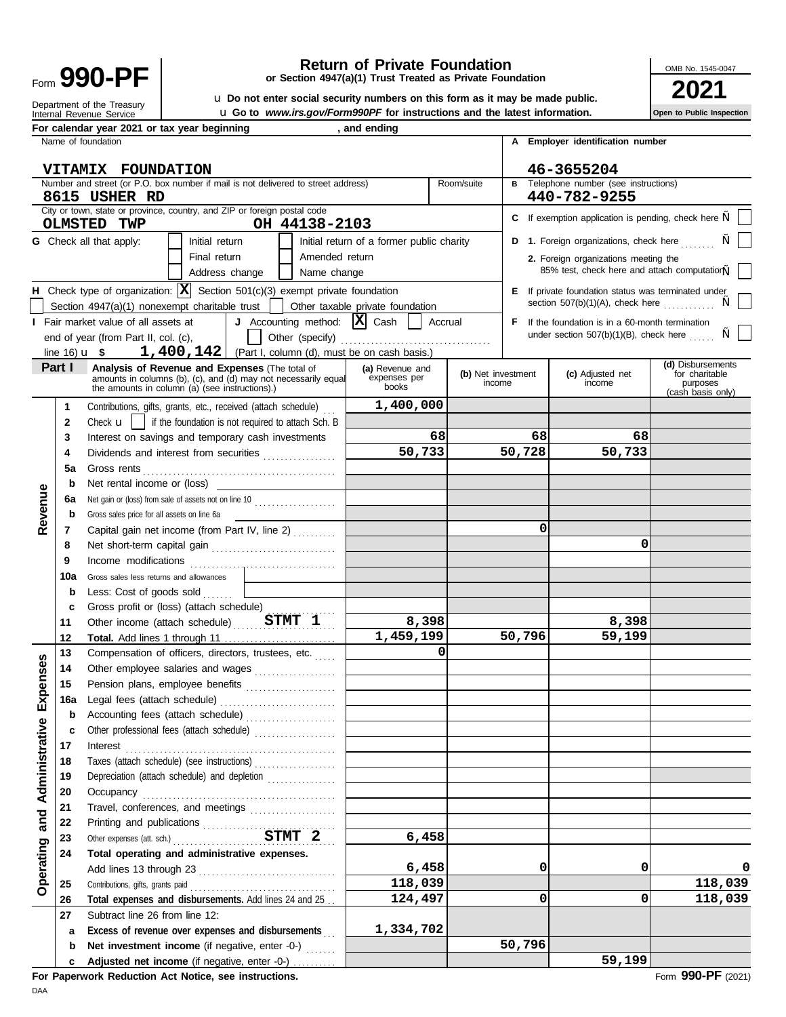Form 990-PF

Internal Revenue Service Department of the Treasury

**H**

## **Return of Private Foundation**

**or Section 4947(a)(1) Trust Treated as Private Foundation**

OMB No. 1545-0047

**Open to Public Inspection**

u **Go to** *www.irs.gov/Form990PF* **for instructions and the latest information. 990-PF**<br>
a Do not enter social security numbers on this form as it may be made public.<br> **2021 1 100 100 100 100 100 100 100 100 100 100 100 100 100 100 100 100 100 100 100 100 1** 

Initial return of a former public charity **Total expenses and disbursements.** Add lines 24 and 25 . . **F E** If private foundation status was terminated under **2.** Foreign organizations meeting the **D 1.** Foreign organizations, check here ....... **C** If exemption application is pending, check here ,, **B A Employer identification number** " section  $507(b)(1)(A)$ , check here  $\ldots \ldots \ldots$ 85% test, check here and attach computation, " Other expenses (att. sch.) . . . . . . . . . . . . . . . . . . . . . . . . . . . . . . . . . . . . . . **STMT 2 6,458** Taxes (attach schedule) (see instructions) . . . . . . . . . . . . . . . . . . . Gross sales less returns and allowances Capital gain net income (from Part IV, line 2) ......... Gross sales price for all assets on line 6a Check  $\mathbf{u}$  | if the foundation is not required to attach Sch. B Contributions, gifts, grants, etc., received (attach schedule) . . . amounts in columns (b), (c), and (d) may not necessarily equal expenses per (b) Net investment (c) Adjusted net for charitable<br>the amounts in columns (b), (c), and (d) may not necessarily equal expenses per purposes of inc **(a)** Revenue and **(b)** Net investment **(c)** Adjusted net **(d)** Disbursements expenses per **(b)** Net investment **(c)** Adjusted net **(d)** Disbursements under section  $507(b)(1)(B)$ , check here If the foundation is in a 60-month termination City or town, state or province, country, and ZIP or foreign postal code Number and street (or P.O. box number if mail is not delivered to street address) Room/suite **Telephone number (see instructions)** Name of foundation Subtract line 26 from line 12: Contributions, gifts, grants paid . . . . . . . . . . . . . . . . . . . . . . . . . . . . . . . . . . Add lines 13 through 23 . . . . . . . . . . . . . . . . . . . . . . . . . . . . . . . . Printing and publications . . . . . . . . . . . . . . . . . . Travel, conferences, and meetings .................... Occupancy . . . . . . . . . . . . . . . . . . . . . . . . . . . . . . . . . . . . . . . . . . . . . Depreciation (attach schedule) and depletion . . . . . . . . . . . . . . . . Interest . . . . . . . . . . . . . . . . . . . . . . . . . . . . . . . . . . . . . . . . . . . . . . . . . Other professional fees (attach schedule) ................... Accounting fees (attach schedule) .................... Legal fees (attach schedule) ........................... Pension plans, employee benefits ..................... Other employee salaries and wages . . . . . . . . . . . . . . . . . . . Compensation of officers, directors, trustees, etc. Other income (attach schedule) . . . . . . . . . . . . . . . . . . . . . . . . **STMT 1 8,398** Gross profit or (loss) (attach schedule) . . . . . . . . . . . . . . . . Less: Cost of goods sold Income modifications . . . . . . . . . . . . . . . . . . . . . . . . . . . . . . . . . . Net short-term capital gain . . . . . . . . . . . . . . . . . . . . . . . . . . . . . Net gain or (loss) from sale of assets not on line 10 .................... Net rental income or (loss) Gross rents . . . . . . . . . . . . . . . . . . . . . . . . . . . . . . . . . . . . . . . . . . . . . Dividends and interest from securities Interest on savings and temporary cash investments (Part I, column (d), must be on cash basis.) Other (specify) . . . . . . . . . . . . . . . . . . . . . . . . . . . . . . . . . . . end of year (from Part II, col. (c), Fair market value of all assets at  $\vert$  **J** Accounting method:  $\vert X \vert$  Cash  $\vert$  Accrual Section 4947(a)(1) nonexempt charitable trust  $\|\cdot\|$  Other taxable private foundation Check type of organization:  $\boxed{\mathbf{X}}$  Section 501(c)(3) exempt private foundation Address change | | Name change Final return | | Amended return **G** Check all that apply: | | Initial return **Net investment income** (if negative, enter -0-) ....... **b** Excess of revenue over expenses and disbursements **a 27 26 25 24 Total operating and administrative expenses. 23 22 21 20 19 18 17 c b 16a 15 14 13 12 Total.** Add lines 1 through 11 **11 c b 10a 9 8 7 b 6a b 5a 4 3 2 1**  $line 16$ **u** \$ Fair market value of all assets at For calendar year 2021 or tax year beginning **the same of the same of the calendar** year 2021 or tax year beginning **Part I Analysis of Revenue and Expenses** (The total of **VITAMIX FOUNDATION 8615 USHER RD OLMSTED TWP OH 44138-2103 46-3655204 440-782-9255 1,400,142 1,400,000 68 50,733 1,459,199 0 6,458 118,039 124,497 1,334,702 68 50,728 0 50,796 0 0 50,796 68 50,733 0 8,398 59,199 0 0 118,039 118,039**

**For Paperwork Reduction Act Notice, see instructions.**

**Adjusted net income** (if negative, enter -0-)

**Operating and Administrative Expenses Revenue**

Expenses

Operating and Administrative

Revenue

**0**

**59,199**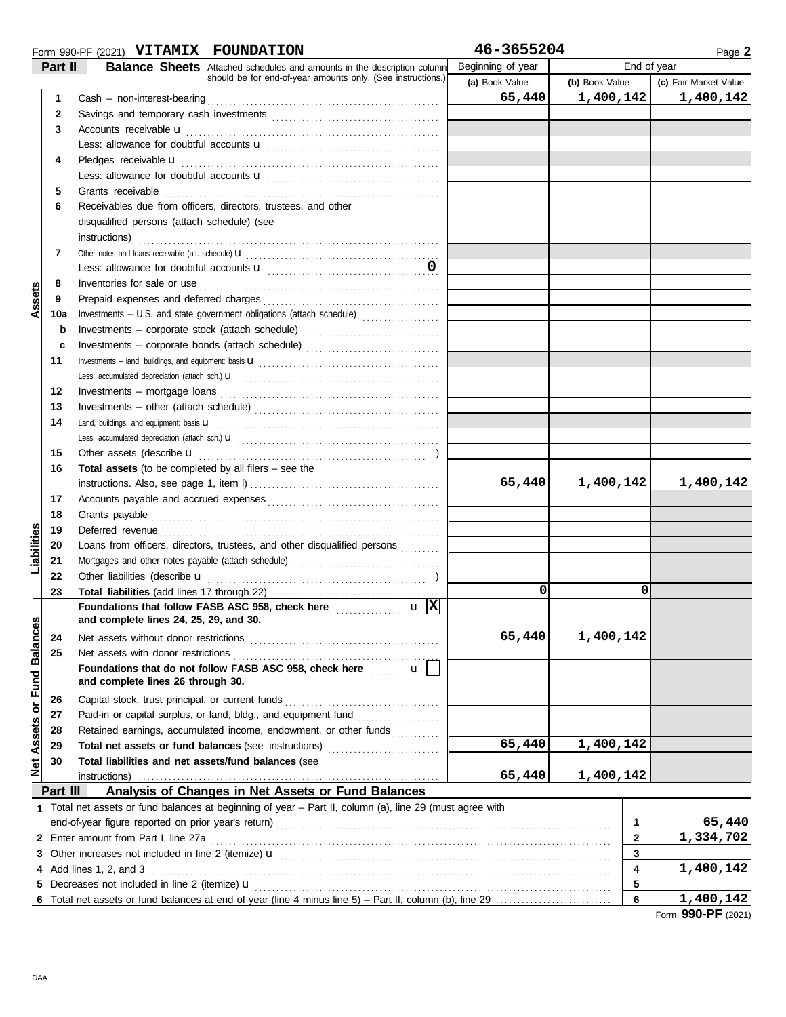|                             |              | Form 990-PF (2021) VITAMIX FOUNDATION                                                                                                                                                                                               | 46-3655204        |                | Page 2                |
|-----------------------------|--------------|-------------------------------------------------------------------------------------------------------------------------------------------------------------------------------------------------------------------------------------|-------------------|----------------|-----------------------|
|                             | Part II      | <b>Balance Sheets</b> Attached schedules and amounts in the description column                                                                                                                                                      | Beginning of year |                | End of year           |
|                             |              | should be for end-of-year amounts only. (See instructions.)                                                                                                                                                                         | (a) Book Value    | (b) Book Value | (c) Fair Market Value |
|                             | $\mathbf{1}$ |                                                                                                                                                                                                                                     | 65,440            | 1,400,142      | 1,400,142             |
|                             | 2            |                                                                                                                                                                                                                                     |                   |                |                       |
|                             | 3            | Accounts receivable <b>u</b>                                                                                                                                                                                                        |                   |                |                       |
|                             |              |                                                                                                                                                                                                                                     |                   |                |                       |
|                             | 4            | Pledges receivable <b>u</b>                                                                                                                                                                                                         |                   |                |                       |
|                             |              |                                                                                                                                                                                                                                     |                   |                |                       |
|                             | 5            | Grants receivable                                                                                                                                                                                                                   |                   |                |                       |
|                             |              | Receivables due from officers, directors, trustees, and other                                                                                                                                                                       |                   |                |                       |
|                             | 6            |                                                                                                                                                                                                                                     |                   |                |                       |
|                             |              | disqualified persons (attach schedule) (see                                                                                                                                                                                         |                   |                |                       |
|                             |              | instructions)                                                                                                                                                                                                                       |                   |                |                       |
|                             | 7            |                                                                                                                                                                                                                                     |                   |                |                       |
|                             |              |                                                                                                                                                                                                                                     |                   |                |                       |
| Assets                      | 8            | Inventories for sale or use <i>continuous continuous continuous</i> continuous continuous continuous continuous continuous continuous continuous continuous continuous continuous continuous continuous continuous continuous conti |                   |                |                       |
|                             | 9            |                                                                                                                                                                                                                                     |                   |                |                       |
|                             | 10a          | Investments - U.S. and state government obligations (attach schedule)                                                                                                                                                               |                   |                |                       |
|                             | $\mathbf b$  | Investments - corporate stock (attach schedule)                                                                                                                                                                                     |                   |                |                       |
|                             | c            | Investments - corporate bonds (attach schedule)                                                                                                                                                                                     |                   |                |                       |
|                             | 11           |                                                                                                                                                                                                                                     |                   |                |                       |
|                             |              |                                                                                                                                                                                                                                     |                   |                |                       |
|                             | 12           | $Investments - mortgage loans$                                                                                                                                                                                                      |                   |                |                       |
|                             | 13           |                                                                                                                                                                                                                                     |                   |                |                       |
|                             | 14           |                                                                                                                                                                                                                                     |                   |                |                       |
|                             |              |                                                                                                                                                                                                                                     |                   |                |                       |
|                             | 15           | Other assets (describe u                                                                                                                                                                                                            |                   |                |                       |
|                             | 16           | <b>Total assets</b> (to be completed by all filers $-$ see the                                                                                                                                                                      |                   |                |                       |
|                             |              |                                                                                                                                                                                                                                     | 65,440            | 1,400,142      | 1,400,142             |
|                             | 17           |                                                                                                                                                                                                                                     |                   |                |                       |
|                             | 18           | Grants payable                                                                                                                                                                                                                      |                   |                |                       |
| Liabilities                 | 19           | Deferred revenue                                                                                                                                                                                                                    |                   |                |                       |
|                             | 20           | Loans from officers, directors, trustees, and other disqualified persons                                                                                                                                                            |                   |                |                       |
|                             | 21           |                                                                                                                                                                                                                                     |                   |                |                       |
|                             | 22           | Other liabilities (describe u                                                                                                                                                                                                       |                   |                |                       |
|                             | 23           |                                                                                                                                                                                                                                     | 0                 | 0              |                       |
|                             |              | $\mathbf{u}$  X <br>Foundations that follow FASB ASC 958, check here <b>Mateural Accords</b>                                                                                                                                        |                   |                |                       |
| Net Assets or Fund Balances |              | and complete lines 24, 25, 29, and 30.                                                                                                                                                                                              |                   |                |                       |
|                             | 24           | Net assets without donor restrictions                                                                                                                                                                                               | 65,440            | 1,400,142      |                       |
|                             | 25           | Net assets with donor restrictions                                                                                                                                                                                                  |                   |                |                       |
|                             |              | $\mathbf{u}$<br>Foundations that do not follow FASB ASC 958, check here                                                                                                                                                             |                   |                |                       |
|                             |              | and complete lines 26 through 30.                                                                                                                                                                                                   |                   |                |                       |
|                             | 26           | Capital stock, trust principal, or current funds                                                                                                                                                                                    |                   |                |                       |
|                             | 27           | Paid-in or capital surplus, or land, bldg., and equipment fund                                                                                                                                                                      |                   |                |                       |
|                             | 28           | Retained earnings, accumulated income, endowment, or other funds                                                                                                                                                                    |                   |                |                       |
|                             | 29           | Total net assets or fund balances (see instructions)                                                                                                                                                                                | 65,440            | 1,400,142      |                       |
|                             | 30           | Total liabilities and net assets/fund balances (see                                                                                                                                                                                 |                   |                |                       |
|                             |              | instructions)                                                                                                                                                                                                                       | 65,440            | 1,400,142      |                       |
|                             | Part III     | Analysis of Changes in Net Assets or Fund Balances                                                                                                                                                                                  |                   |                |                       |
|                             |              | 1 Total net assets or fund balances at beginning of year – Part II, column (a), line 29 (must agree with                                                                                                                            |                   |                |                       |
|                             |              | end-of-year figure reported on prior year's return)                                                                                                                                                                                 |                   | 1              | 65,440                |
|                             |              | 2 Enter amount from Part I, line 27a                                                                                                                                                                                                |                   | $\overline{2}$ | 1,334,702             |
|                             |              | 3 Other increases not included in line 2 (itemize) $\mathbf u$                                                                                                                                                                      |                   | 3              |                       |
|                             |              | 4 Add lines 1, 2, and 3                                                                                                                                                                                                             |                   | 4              | 1,400,142             |
|                             |              | 5 Decreases not included in line 2 (itemize) <b>u</b>                                                                                                                                                                               |                   | 5              |                       |
|                             |              |                                                                                                                                                                                                                                     |                   | 6              | 1,400,142             |

Form **990-PF** (2021)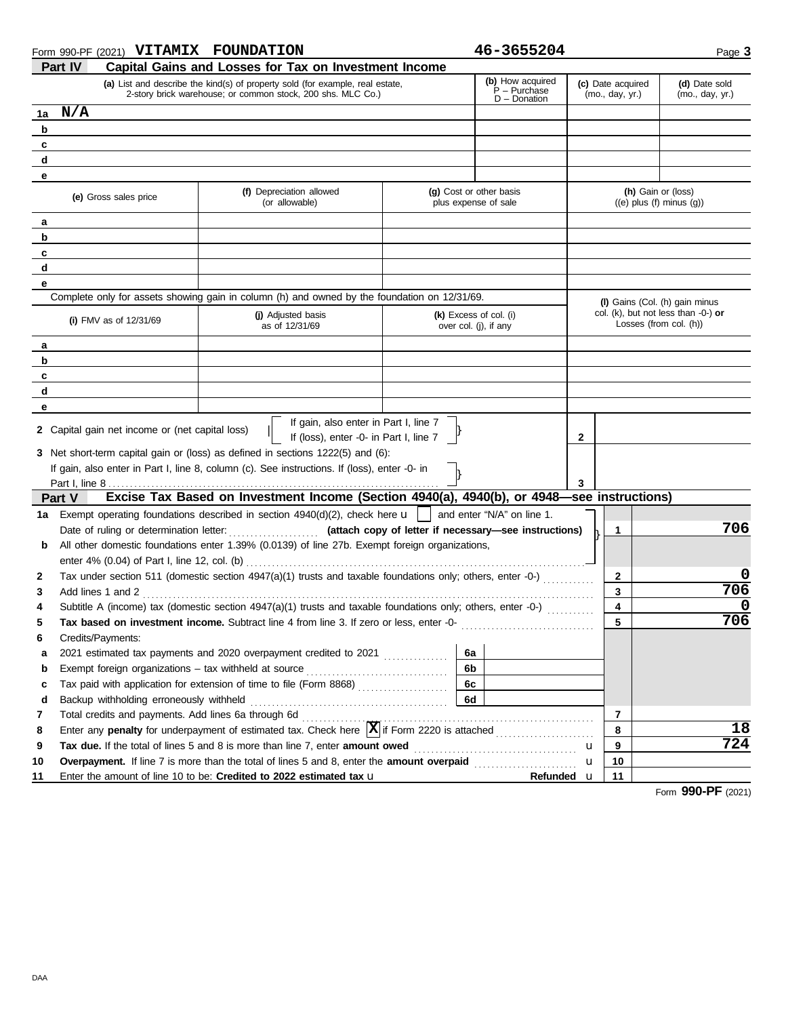| Form 990-PF (2021) VITAMIX FOUNDATION                      |                                                                                                                                                                                 | 46-3655204                                            |                                                        | Page 3                                                           |
|------------------------------------------------------------|---------------------------------------------------------------------------------------------------------------------------------------------------------------------------------|-------------------------------------------------------|--------------------------------------------------------|------------------------------------------------------------------|
| Part IV                                                    | Capital Gains and Losses for Tax on Investment Income                                                                                                                           |                                                       |                                                        |                                                                  |
|                                                            | (a) List and describe the kind(s) of property sold (for example, real estate,<br>2-story brick warehouse, or common stock, 200 shs. MLC Co.)                                    | (b) How acquired<br>P – Purchase<br>$D$ – Donation    | (c) Date acquired<br>(mo., day, yr.)                   | (d) Date sold<br>(mo., day, yr.)                                 |
| N/A<br>1a                                                  |                                                                                                                                                                                 |                                                       |                                                        |                                                                  |
| b                                                          |                                                                                                                                                                                 |                                                       |                                                        |                                                                  |
| c                                                          |                                                                                                                                                                                 |                                                       |                                                        |                                                                  |
| d                                                          |                                                                                                                                                                                 |                                                       |                                                        |                                                                  |
| е                                                          |                                                                                                                                                                                 |                                                       |                                                        |                                                                  |
| (e) Gross sales price                                      | (f) Depreciation allowed<br>(or allowable)                                                                                                                                      | (g) Cost or other basis<br>plus expense of sale       |                                                        | (h) Gain or (loss)<br>$((e)$ plus $(f)$ minus $(g)$ )            |
| а                                                          |                                                                                                                                                                                 |                                                       |                                                        |                                                                  |
| b                                                          |                                                                                                                                                                                 |                                                       |                                                        |                                                                  |
| c                                                          |                                                                                                                                                                                 |                                                       |                                                        |                                                                  |
| d                                                          |                                                                                                                                                                                 |                                                       |                                                        |                                                                  |
| е                                                          |                                                                                                                                                                                 |                                                       |                                                        |                                                                  |
|                                                            | Complete only for assets showing gain in column (h) and owned by the foundation on 12/31/69.                                                                                    |                                                       |                                                        | (I) Gains (Col. (h) gain minus                                   |
| (i) FMV as of $12/31/69$                                   | (j) Adjusted basis<br>as of 12/31/69                                                                                                                                            | $(k)$ Excess of col. (i)<br>over col. (j), if any     |                                                        | col. (k), but not less than $-0$ -) or<br>Losses (from col. (h)) |
| а                                                          |                                                                                                                                                                                 |                                                       |                                                        |                                                                  |
| b                                                          |                                                                                                                                                                                 |                                                       |                                                        |                                                                  |
| c                                                          |                                                                                                                                                                                 |                                                       |                                                        |                                                                  |
| d                                                          |                                                                                                                                                                                 |                                                       |                                                        |                                                                  |
| е                                                          |                                                                                                                                                                                 |                                                       |                                                        |                                                                  |
| <b>2</b> Capital gain net income or (net capital loss)     | If gain, also enter in Part I, line 7                                                                                                                                           |                                                       |                                                        |                                                                  |
|                                                            | If (loss), enter -0- in Part I, line 7                                                                                                                                          |                                                       | 2                                                      |                                                                  |
|                                                            | 3 Net short-term capital gain or (loss) as defined in sections 1222(5) and (6):<br>If gain, also enter in Part I, line 8, column (c). See instructions. If (loss), enter -0- in |                                                       |                                                        |                                                                  |
|                                                            |                                                                                                                                                                                 |                                                       | 3                                                      |                                                                  |
| Part V                                                     | Excise Tax Based on Investment Income (Section 4940(a), 4940(b), or 4948–see instructions)                                                                                      |                                                       |                                                        |                                                                  |
| 1a l                                                       | Exempt operating foundations described in section $4940(d)(2)$ , check here $\mathbf{u}$                                                                                        | and enter "N/A" on line 1.                            |                                                        |                                                                  |
| Date of ruling or determination letter:                    |                                                                                                                                                                                 | (attach copy of letter if necessary-see instructions) | 1                                                      | 706                                                              |
| b                                                          | All other domestic foundations enter 1.39% (0.0139) of line 27b. Exempt foreign organizations,                                                                                  |                                                       |                                                        |                                                                  |
|                                                            |                                                                                                                                                                                 |                                                       |                                                        |                                                                  |
| 2                                                          | Tax under section 511 (domestic section 4947(a)(1) trusts and taxable foundations only; others, enter -0-)                                                                      |                                                       | 2                                                      | 0                                                                |
| Add lines 1 and 2<br>3                                     |                                                                                                                                                                                 |                                                       | 3                                                      | 706                                                              |
|                                                            | Subtitle A (income) tax (domestic section 4947(a)(1) trusts and taxable foundations only; others, enter -0-)                                                                    |                                                       | 4                                                      | 0                                                                |
|                                                            | Tax based on investment income. Subtract line 4 from line 3. If zero or less, enter -0-                                                                                         |                                                       | 5                                                      | 706                                                              |
| Credits/Payments:<br>6                                     |                                                                                                                                                                                 |                                                       |                                                        |                                                                  |
| a                                                          | 2021 estimated tax payments and 2020 overpayment credited to 2021                                                                                                               | 6a                                                    |                                                        |                                                                  |
| Exempt foreign organizations - tax withheld at source<br>b |                                                                                                                                                                                 | 6b                                                    |                                                        |                                                                  |
| c                                                          |                                                                                                                                                                                 | 6c                                                    |                                                        |                                                                  |
| d<br>Backup withholding erroneously withheld               |                                                                                                                                                                                 | 6d                                                    |                                                        |                                                                  |
| 7<br>Total credits and payments. Add lines 6a through 6d   |                                                                                                                                                                                 |                                                       | $\overline{7}$                                         |                                                                  |
| 8                                                          | Enter any penalty for underpayment of estimated tax. Check here $\boxed{\mathbf{X}}$ if Form 2220 is attached                                                                   |                                                       | 8<br><u> 1966 - Johann Stoff, Amerikaansk kanton (</u> | 18                                                               |
| 9                                                          | Tax due. If the total of lines 5 and 8 is more than line 7, enter amount owed                                                                                                   |                                                       | 9<br>u                                                 | 724                                                              |
| 10                                                         | Overpayment. If line 7 is more than the total of lines 5 and 8, enter the amount overpaid                                                                                       |                                                       | 10<br>u                                                |                                                                  |
| 11                                                         | Enter the amount of line 10 to be: Credited to 2022 estimated tax u                                                                                                             |                                                       | Refunded u<br>11                                       | nnn                                                              |

Form **990-PF** (2021)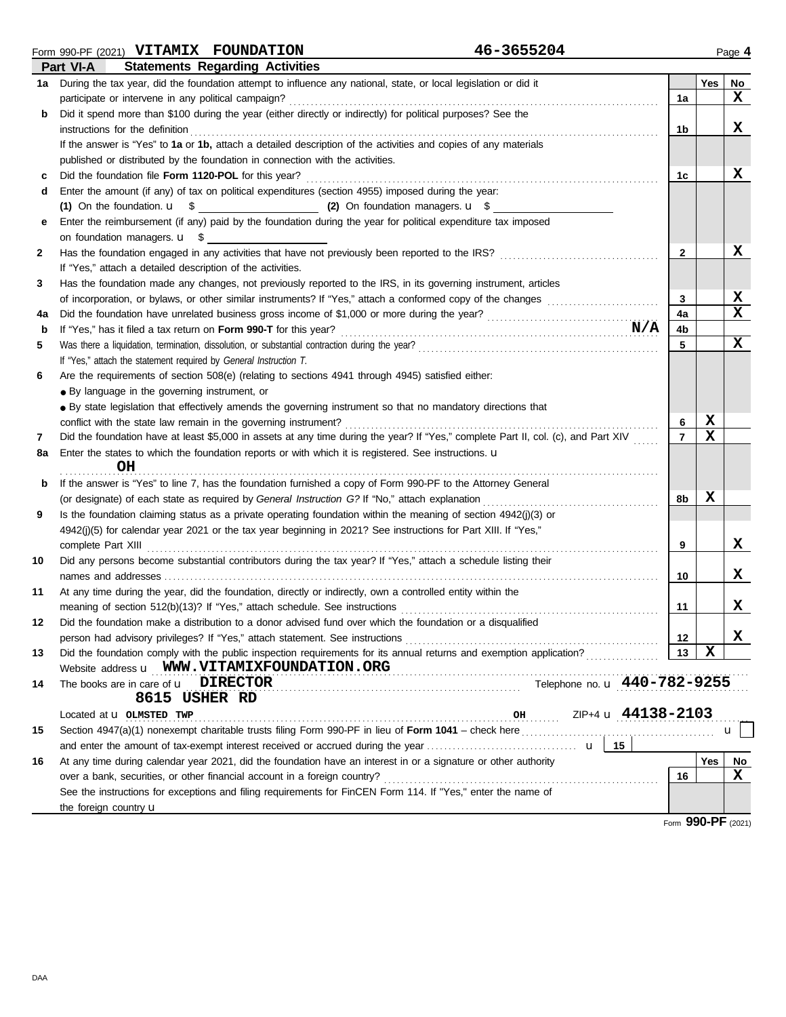DAA

**b**

| b  | Did it spend more than \$100 during the year (either directly or indirectly) for political purposes? See the                                                              |                |             |              |
|----|---------------------------------------------------------------------------------------------------------------------------------------------------------------------------|----------------|-------------|--------------|
|    | instructions for the definition                                                                                                                                           | 1b             |             | x            |
|    | If the answer is "Yes" to 1a or 1b, attach a detailed description of the activities and copies of any materials                                                           |                |             |              |
|    | published or distributed by the foundation in connection with the activities.                                                                                             |                |             |              |
|    | Did the foundation file Form 1120-POL for this year?                                                                                                                      | 1c             |             | x            |
| d  | Enter the amount (if any) of tax on political expenditures (section 4955) imposed during the year:                                                                        |                |             |              |
|    |                                                                                                                                                                           |                |             |              |
|    | Enter the reimbursement (if any) paid by the foundation during the year for political expenditure tax imposed                                                             |                |             |              |
|    | on foundation managers. $\mathbf{u}$ \$                                                                                                                                   |                |             |              |
| 2  | Has the foundation engaged in any activities that have not previously been reported to the IRS?                                                                           | $\mathbf{2}$   |             | x            |
|    | If "Yes," attach a detailed description of the activities.                                                                                                                |                |             |              |
| 3  | Has the foundation made any changes, not previously reported to the IRS, in its governing instrument, articles                                                            |                |             |              |
|    |                                                                                                                                                                           | 3              |             | X            |
| 4a |                                                                                                                                                                           | 4a             |             | $\mathbf x$  |
| b  | N/A<br>If "Yes," has it filed a tax return on Form 990-T for this year?                                                                                                   | 4b             |             |              |
| 5  |                                                                                                                                                                           | 5              |             | $\mathbf x$  |
|    | If "Yes," attach the statement required by General Instruction T.                                                                                                         |                |             |              |
| 6  | Are the requirements of section 508(e) (relating to sections 4941 through 4945) satisfied either:                                                                         |                |             |              |
|    | • By language in the governing instrument, or                                                                                                                             |                |             |              |
|    | • By state legislation that effectively amends the governing instrument so that no mandatory directions that                                                              |                |             |              |
|    | conflict with the state law remain in the governing instrument?                                                                                                           | 6              | X           |              |
| 7  | Did the foundation have at least \$5,000 in assets at any time during the year? If "Yes," complete Part II, col. (c), and Part XIV                                        | $\overline{7}$ | $\mathbf x$ |              |
| 8a | Enter the states to which the foundation reports or with which it is registered. See instructions. u<br>OН                                                                |                |             |              |
|    |                                                                                                                                                                           |                |             |              |
| b  | If the answer is "Yes" to line 7, has the foundation furnished a copy of Form 990-PF to the Attorney General                                                              |                |             |              |
|    | (or designate) of each state as required by General Instruction G? If "No," attach explanation                                                                            | 8b             | х           |              |
| 9  | Is the foundation claiming status as a private operating foundation within the meaning of section 4942(j)(3) or                                                           |                |             |              |
|    | 4942(j)(5) for calendar year 2021 or the tax year beginning in 2021? See instructions for Part XIII. If "Yes,"                                                            |                |             |              |
|    | complete Part XIII                                                                                                                                                        | 9              |             | X            |
| 10 | Did any persons become substantial contributors during the tax year? If "Yes," attach a schedule listing their                                                            |                |             | X            |
|    |                                                                                                                                                                           | 10             |             |              |
| 11 | At any time during the year, did the foundation, directly or indirectly, own a controlled entity within the                                                               |                |             | X            |
|    | meaning of section 512(b)(13)? If "Yes," attach schedule. See instructions                                                                                                | 11             |             |              |
| 12 | Did the foundation make a distribution to a donor advised fund over which the foundation or a disqualified                                                                |                |             | X            |
|    |                                                                                                                                                                           | 12             | X           |              |
| 13 | Did the foundation comply with the public inspection requirements for its annual returns and exemption application?<br>Website address <b>u</b> WWW.VITAMIXFOUNDATION.ORG | 13             |             |              |
| 14 | Telephone no. <b>u</b> 440-782-9255<br>The books are in care of $\mathbf{u}$ DIRECTOR                                                                                     |                |             |              |
|    | 8615 USHER RD                                                                                                                                                             |                |             |              |
|    | $\frac{0H}{2}$ ZIP+4 <b>u</b> $\frac{44138-2103}{4}$<br>Located at <b>u</b> OLMSTED TWP                                                                                   |                |             |              |
| 15 |                                                                                                                                                                           |                |             | $\mathbf{u}$ |
|    | 15                                                                                                                                                                        |                |             |              |
| 16 | At any time during calendar year 2021, did the foundation have an interest in or a signature or other authority                                                           |                | Yes         | No           |
|    | over a bank, securities, or other financial account in a foreign country?                                                                                                 | 16             |             | x            |
|    | See the instructions for exceptions and filing requirements for FinCEN Form 114. If "Yes," enter the name of                                                              |                |             |              |
|    | the foreign country <b>u</b>                                                                                                                                              |                |             |              |

participate or intervene in any political campaign? . . . . . . . . . . . . . . . . . . . . . . . . . . . . . . . . . . . . . . . . . . . . . . . . . . . . . . . . . . . . . . . . . . . . . . . . . . . . . . . . . . . . . .

**1a** During the tax year, did the foundation attempt to influence any national, state, or local legislation or did it **Transference Transference Transference Transference Transference Transference Transference** 

Form **990-PF** (2021)

**X**

**1a**

### Form 990-PF (2021) **VITAMIX FOUNDATION 46-3655204 Part VI-A Statements Regarding Activities**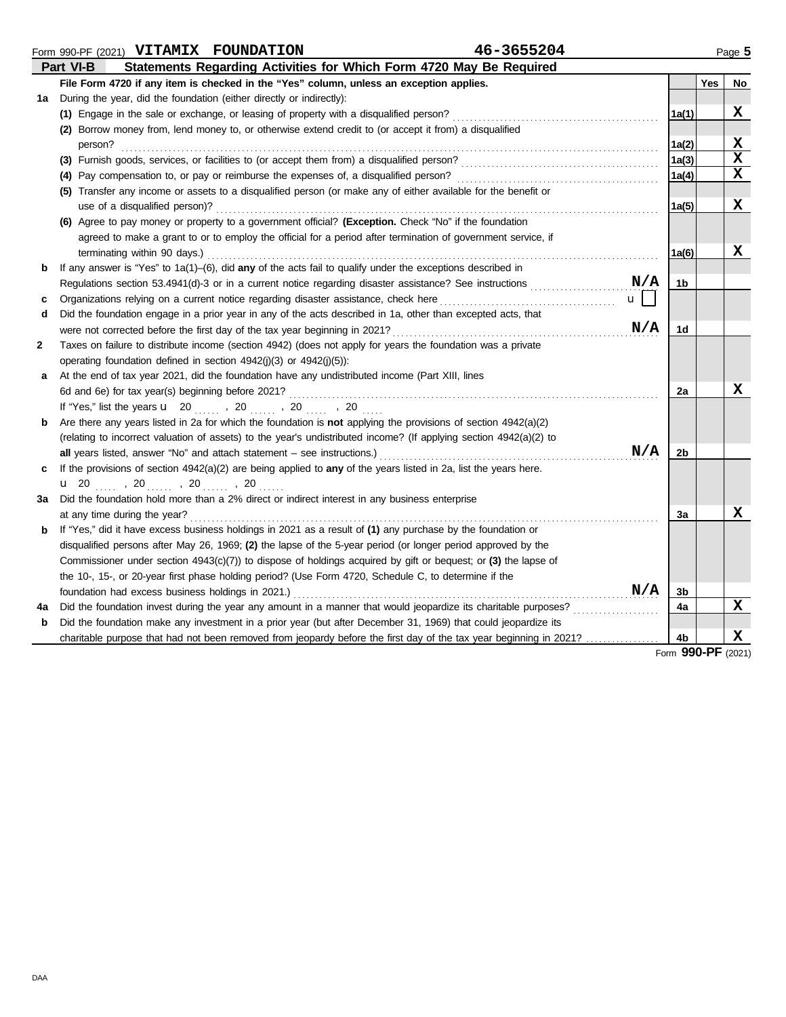|    | 46-3655204<br>Form 990-PF (2021) VITAMIX FOUNDATION                                                                     |       |            | Page 5      |
|----|-------------------------------------------------------------------------------------------------------------------------|-------|------------|-------------|
|    | Statements Regarding Activities for Which Form 4720 May Be Required<br><b>Part VI-B</b>                                 |       |            |             |
|    | File Form 4720 if any item is checked in the "Yes" column, unless an exception applies.                                 |       | <b>Yes</b> | No          |
| 1a | During the year, did the foundation (either directly or indirectly):                                                    |       |            |             |
|    | (1) Engage in the sale or exchange, or leasing of property with a disqualified person?                                  | 1a(1) |            | х           |
|    | (2) Borrow money from, lend money to, or otherwise extend credit to (or accept it from) a disqualified                  |       |            |             |
|    | person?                                                                                                                 | 1a(2) |            | X           |
|    |                                                                                                                         | 1a(3) |            | $\mathbf x$ |
|    | (4) Pay compensation to, or pay or reimburse the expenses of, a disqualified person?                                    | 1a(4) |            | x           |
|    | (5) Transfer any income or assets to a disqualified person (or make any of either available for the benefit or          |       |            |             |
|    | use of a disqualified person)?                                                                                          | 1a(5) |            | х           |
|    | (6) Agree to pay money or property to a government official? (Exception. Check "No" if the foundation                   |       |            |             |
|    | agreed to make a grant to or to employ the official for a period after termination of government service, if            |       |            |             |
|    | terminating within 90 days.)                                                                                            | 1a(6) |            | x           |
| b  | If any answer is "Yes" to 1a(1)-(6), did any of the acts fail to qualify under the exceptions described in              |       |            |             |
|    | N/A<br>Regulations section 53.4941(d)-3 or in a current notice regarding disaster assistance? See instructions          | 1b    |            |             |
| c  | Organizations relying on a current notice regarding disaster assistance, check here<br>$\mathbf{u}$                     |       |            |             |
| d  | Did the foundation engage in a prior year in any of the acts described in 1a, other than excepted acts, that            |       |            |             |
|    | N/A                                                                                                                     | 1d    |            |             |
| 2  | Taxes on failure to distribute income (section 4942) (does not apply for years the foundation was a private             |       |            |             |
|    | operating foundation defined in section $4942(j)(3)$ or $4942(j)(5)$ :                                                  |       |            |             |
| a  | At the end of tax year 2021, did the foundation have any undistributed income (Part XIII, lines                         |       |            |             |
|    |                                                                                                                         | 2a    |            | x           |
|    | If "Yes," list the years <b>u</b> 20 , 20 , 20 , 20                                                                     |       |            |             |
| b  | Are there any years listed in 2a for which the foundation is <b>not</b> applying the provisions of section $4942(a)(2)$ |       |            |             |
|    | (relating to incorrect valuation of assets) to the year's undistributed income? (If applying section 4942(a)(2) to      |       |            |             |
|    | N/A<br>all years listed, answer "No" and attach statement $-$ see instructions.)                                        | 2b    |            |             |
| c  | If the provisions of section $4942(a)(2)$ are being applied to any of the years listed in 2a, list the years here.      |       |            |             |
|    | <b>u</b> 20 , 20 , 20 , 20                                                                                              |       |            |             |
| За | Did the foundation hold more than a 2% direct or indirect interest in any business enterprise                           |       |            |             |
|    | at any time during the year?                                                                                            | За    |            | х           |
| b  | If "Yes," did it have excess business holdings in 2021 as a result of (1) any purchase by the foundation or             |       |            |             |
|    | disqualified persons after May 26, 1969; (2) the lapse of the 5-year period (or longer period approved by the           |       |            |             |
|    | Commissioner under section $4943(c)(7)$ to dispose of holdings acquired by gift or bequest; or (3) the lapse of         |       |            |             |
|    | the 10-, 15-, or 20-year first phase holding period? (Use Form 4720, Schedule C, to determine if the                    |       |            |             |
|    | N/A<br>foundation had excess business holdings in 2021.)                                                                | 3b    |            |             |
| 4a | Did the foundation invest during the year any amount in a manner that would jeopardize its charitable purposes?         | 4a    |            | x           |
| b  | Did the foundation make any investment in a prior year (but after December 31, 1969) that could jeopardize its          |       |            |             |
|    | charitable purpose that had not been removed from jeopardy before the first day of the tax year beginning in 2021?      | 4b    |            | $\mathbf x$ |

Form **990-PF** (2021)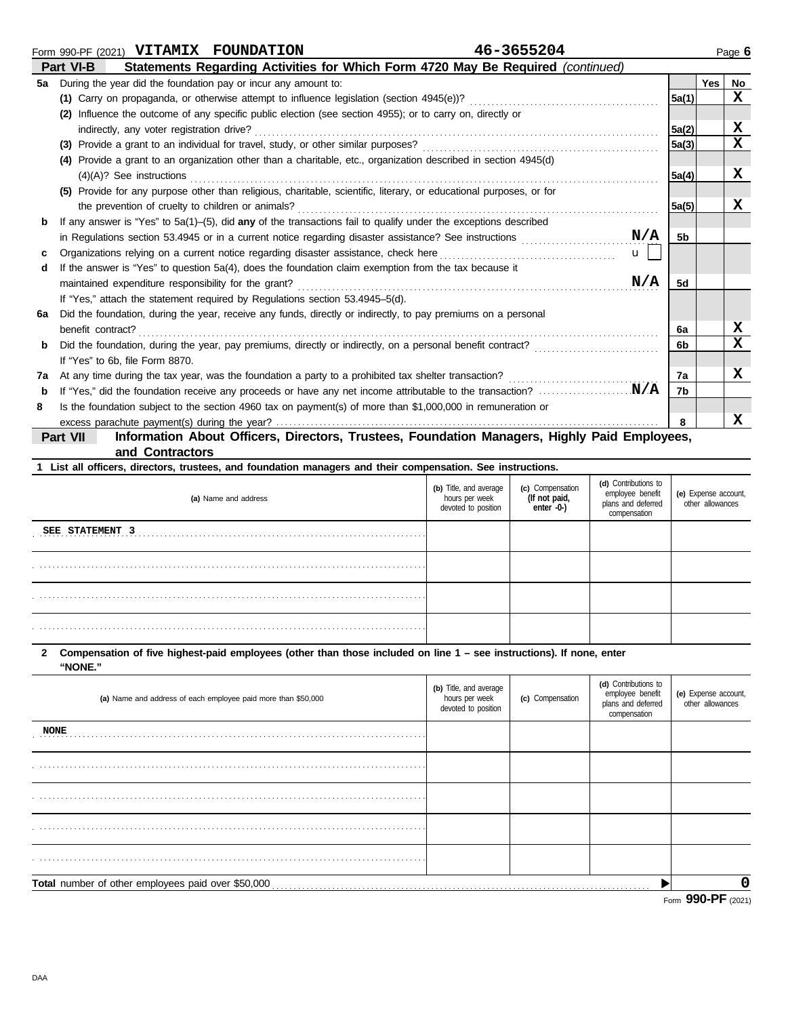|    | Form 990-PF (2021) VITAMIX FOUNDATION                          |                                                                                                           | 46-3655204                                                                                                          |              |                |            | Page 6      |
|----|----------------------------------------------------------------|-----------------------------------------------------------------------------------------------------------|---------------------------------------------------------------------------------------------------------------------|--------------|----------------|------------|-------------|
|    | Part VI-B                                                      |                                                                                                           | Statements Regarding Activities for Which Form 4720 May Be Required (continued)                                     |              |                |            |             |
| 5а | During the year did the foundation pay or incur any amount to: |                                                                                                           |                                                                                                                     |              |                | <b>Yes</b> | No          |
|    |                                                                | (1) Carry on propaganda, or otherwise attempt to influence legislation (section 4945(e))?                 |                                                                                                                     |              | 5a(1)          |            | $\mathbf x$ |
|    |                                                                | (2) Influence the outcome of any specific public election (see section 4955); or to carry on, directly or |                                                                                                                     |              |                |            |             |
|    | indirectly, any voter registration drive?                      |                                                                                                           |                                                                                                                     |              | 5a(2)          |            | x           |
|    |                                                                | (3) Provide a grant to an individual for travel, study, or other similar purposes?                        |                                                                                                                     |              | 5a(3)          |            | x           |
|    |                                                                |                                                                                                           | (4) Provide a grant to an organization other than a charitable, etc., organization described in section 4945(d)     |              |                |            |             |
|    | $(4)(A)?$ See instructions                                     |                                                                                                           |                                                                                                                     |              | 5a(4)          |            | x           |
|    |                                                                |                                                                                                           | (5) Provide for any purpose other than religious, charitable, scientific, literary, or educational purposes, or for |              |                |            |             |
|    | the prevention of cruelty to children or animals?              |                                                                                                           |                                                                                                                     |              | 5a(5)          |            | x           |
| b  |                                                                |                                                                                                           | If any answer is "Yes" to $5a(1)$ –(5), did any of the transactions fail to qualify under the exceptions described  |              |                |            |             |
|    |                                                                | in Regulations section 53.4945 or in a current notice regarding disaster assistance? See instructions     |                                                                                                                     | N/A          | 5b             |            |             |
| c  |                                                                | Organizations relying on a current notice regarding disaster assistance, check here                       |                                                                                                                     | $\mathbf{u}$ |                |            |             |
| d  |                                                                | If the answer is "Yes" to question 5a(4), does the foundation claim exemption from the tax because it     |                                                                                                                     |              |                |            |             |
|    | maintained expenditure responsibility for the grant?           |                                                                                                           |                                                                                                                     | N/A          | 5d             |            |             |
|    |                                                                | If "Yes," attach the statement required by Regulations section 53.4945–5(d).                              |                                                                                                                     |              |                |            |             |
| 6а |                                                                |                                                                                                           | Did the foundation, during the year, receive any funds, directly or indirectly, to pay premiums on a personal       |              |                |            |             |
|    | benefit contract?                                              |                                                                                                           |                                                                                                                     |              | 6a             |            | x           |
| b  |                                                                |                                                                                                           | Did the foundation, during the year, pay premiums, directly or indirectly, on a personal benefit contract?          |              | 6 <sub>b</sub> |            | X           |
|    | If "Yes" to 6b, file Form 8870.                                |                                                                                                           |                                                                                                                     |              |                |            |             |
| 7a |                                                                | At any time during the tax year, was the foundation a party to a prohibited tax shelter transaction?      |                                                                                                                     |              | 7a             |            | x           |
| b  |                                                                |                                                                                                           | If "Yes," did the foundation receive any proceeds or have any net income attributable to the transaction?           | . N/A        | 7b             |            |             |
| 8  |                                                                |                                                                                                           | Is the foundation subject to the section 4960 tax on payment(s) of more than \$1,000,000 in remuneration or         |              |                |            |             |
|    |                                                                |                                                                                                           |                                                                                                                     |              | 8              |            | x           |
|    | Dart VII                                                       |                                                                                                           | Information About Officers, Directors, Trustees, Foundation Managers, Highly Paid Employees                         |              |                |            |             |

**Part VII Information About Officers, Directors, Trustees, Foundation Managers, Highly Paid Employees, and Contractors**

**1 List all officers, directors, trustees, and foundation managers and their compensation. See instructions.**

| (a) Name and address   | (b) Title, and average<br>hours per week<br>devoted to position | (c) Compensation<br>(If not paid,<br>enter -0-) | (d) Contributions to<br>employee benefit<br>plans and deferred<br>compensation | (e) Expense account,<br>other allowances |
|------------------------|-----------------------------------------------------------------|-------------------------------------------------|--------------------------------------------------------------------------------|------------------------------------------|
| <b>SEE STATEMENT 3</b> |                                                                 |                                                 |                                                                                |                                          |
|                        |                                                                 |                                                 |                                                                                |                                          |
|                        |                                                                 |                                                 |                                                                                |                                          |
|                        |                                                                 |                                                 |                                                                                |                                          |

### **2 Compensation of five highest-paid employees (other than those included on line 1 – see instructions). If none, enter "NONE."**

|                                                               |                                                                 |                  |                                                                                | Form 990-PF (2021)                       |
|---------------------------------------------------------------|-----------------------------------------------------------------|------------------|--------------------------------------------------------------------------------|------------------------------------------|
| Total number of other employees paid over \$50,000            |                                                                 |                  |                                                                                | 0                                        |
|                                                               |                                                                 |                  |                                                                                |                                          |
|                                                               |                                                                 |                  |                                                                                |                                          |
|                                                               |                                                                 |                  |                                                                                |                                          |
|                                                               |                                                                 |                  |                                                                                |                                          |
| <b>NONE</b><br>.                                              |                                                                 |                  |                                                                                |                                          |
| (a) Name and address of each employee paid more than \$50,000 | (b) Title, and average<br>hours per week<br>devoted to position | (c) Compensation | (d) Contributions to<br>employee benefit<br>plans and deferred<br>compensation | (e) Expense account,<br>other allowances |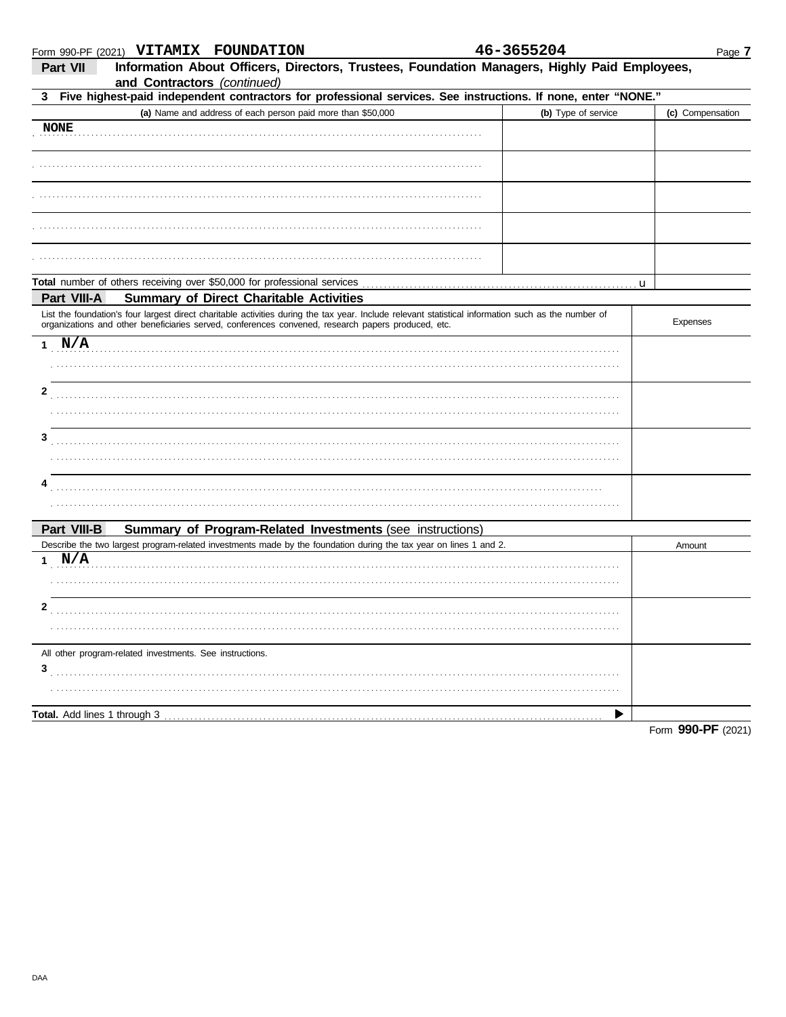### Form 990-PF (2021) VITAMIX FOUNDATION

| 46-3655204 |  |  |  |  |
|------------|--|--|--|--|
|            |  |  |  |  |

| Part VII<br>and Contractors (continued)                                                            | Information About Officers, Directors, Trustees, Foundation Managers, Highly Paid Employees,                                                        |                     |                    |
|----------------------------------------------------------------------------------------------------|-----------------------------------------------------------------------------------------------------------------------------------------------------|---------------------|--------------------|
|                                                                                                    | 3 Five highest-paid independent contractors for professional services. See instructions. If none, enter "NONE."                                     |                     |                    |
|                                                                                                    | (a) Name and address of each person paid more than \$50,000                                                                                         | (b) Type of service | (c) Compensation   |
| <b>NONE</b>                                                                                        |                                                                                                                                                     |                     |                    |
|                                                                                                    |                                                                                                                                                     |                     |                    |
|                                                                                                    |                                                                                                                                                     |                     |                    |
|                                                                                                    |                                                                                                                                                     |                     |                    |
|                                                                                                    |                                                                                                                                                     |                     |                    |
|                                                                                                    |                                                                                                                                                     |                     | u                  |
| Part VIII-A<br><b>Summary of Direct Charitable Activities</b>                                      |                                                                                                                                                     |                     |                    |
| organizations and other beneficiaries served, conferences convened, research papers produced, etc. | List the foundation's four largest direct charitable activities during the tax year. Include relevant statistical information such as the number of |                     | Expenses           |
| 1 N/A                                                                                              |                                                                                                                                                     |                     |                    |
|                                                                                                    |                                                                                                                                                     |                     |                    |
| 2                                                                                                  |                                                                                                                                                     |                     |                    |
|                                                                                                    |                                                                                                                                                     |                     |                    |
| 3                                                                                                  |                                                                                                                                                     |                     |                    |
|                                                                                                    |                                                                                                                                                     |                     |                    |
| 4                                                                                                  |                                                                                                                                                     |                     |                    |
|                                                                                                    |                                                                                                                                                     |                     |                    |
| Part VIII-B                                                                                        | Summary of Program-Related Investments (see instructions)                                                                                           |                     |                    |
|                                                                                                    | Describe the two largest program-related investments made by the foundation during the tax year on lines 1 and 2.                                   |                     | Amount             |
| 1 N/A                                                                                              |                                                                                                                                                     |                     |                    |
|                                                                                                    |                                                                                                                                                     |                     |                    |
| 2                                                                                                  |                                                                                                                                                     |                     |                    |
|                                                                                                    |                                                                                                                                                     |                     |                    |
| All other program-related investments. See instructions.                                           |                                                                                                                                                     |                     |                    |
| 3                                                                                                  |                                                                                                                                                     |                     |                    |
|                                                                                                    |                                                                                                                                                     |                     |                    |
|                                                                                                    |                                                                                                                                                     |                     |                    |
|                                                                                                    |                                                                                                                                                     |                     | Form 990-PF (2021) |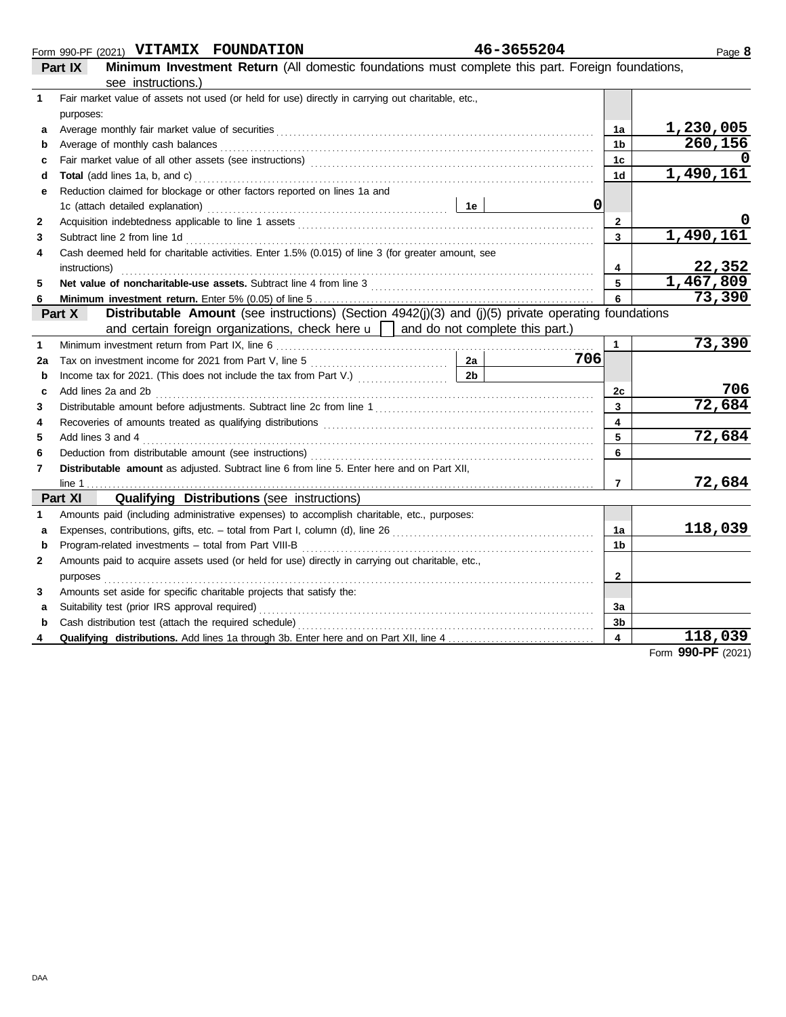## Form 990-PF (2021) **VITAMIX FOUNDATION 46-3655204**

|         | Form 990-PF (2021) VITAMIX FOUNDATION | 40-3032404                                                                                        |
|---------|---------------------------------------|---------------------------------------------------------------------------------------------------|
| Part IX |                                       | Minimum Investment Return (All domestic foundations must complete this part. Foreign foundations, |
|         | <u>eee instructions)</u>              |                                                                                                   |

|              | see instructions.)                                                                                                                                                                                                             |                         |                            |
|--------------|--------------------------------------------------------------------------------------------------------------------------------------------------------------------------------------------------------------------------------|-------------------------|----------------------------|
| 1            | Fair market value of assets not used (or held for use) directly in carrying out charitable, etc.,                                                                                                                              |                         |                            |
|              | purposes:                                                                                                                                                                                                                      |                         |                            |
| a            |                                                                                                                                                                                                                                | 1a                      | 1,230,005                  |
| b            | Average of monthly cash balances                                                                                                                                                                                               | 1 <sub>b</sub>          | 260,156                    |
| c            |                                                                                                                                                                                                                                | 1 <sub>c</sub>          |                            |
| d            | Total (add lines 1a, b, and c) Mathematical Annual Annual Annual Annual Annual Annual Annual Annual Annual Annu                                                                                                                | 1 <sub>d</sub>          | 1,490,161                  |
| е            | Reduction claimed for blockage or other factors reported on lines 1a and                                                                                                                                                       |                         |                            |
|              | $\mathbf 0$<br>1e<br>1c (attach detailed explanation)                                                                                                                                                                          |                         |                            |
| 2            |                                                                                                                                                                                                                                | $\mathbf{2}$            |                            |
| 3            | Subtract line 2 from line 1d                                                                                                                                                                                                   | $\overline{\mathbf{3}}$ | 1,490,161                  |
| 4            | Cash deemed held for charitable activities. Enter 1.5% (0.015) of line 3 (for greater amount, see                                                                                                                              |                         |                            |
|              | instructions)                                                                                                                                                                                                                  | 4                       | $\frac{22,352}{1,467,809}$ |
| 5            |                                                                                                                                                                                                                                | $5\overline{)}$         |                            |
| 6            |                                                                                                                                                                                                                                | 6                       | 73,390                     |
|              | Distributable Amount (see instructions) (Section 4942(j)(3) and (j)(5) private operating foundations<br>Part X                                                                                                                 |                         |                            |
|              | and certain foreign organizations, check here $\mathbf{u}$   and do not complete this part.)                                                                                                                                   |                         |                            |
| 1            |                                                                                                                                                                                                                                | $\mathbf{1}$            | 73,390                     |
| 2a           | 706                                                                                                                                                                                                                            |                         |                            |
| b            | 2 <sub>b</sub><br>Income tax for 2021. (This does not include the tax from Part V.)                                                                                                                                            |                         |                            |
| c            | Add lines 2a and 2b                                                                                                                                                                                                            | 2c                      | 706<br>72,684              |
| 3            |                                                                                                                                                                                                                                | $\overline{\mathbf{3}}$ |                            |
| 4            | Recoveries of amounts treated as qualifying distributions [11] content to content the amounts of amounts treated as qualifying distributions [11] content to content the second section of the second section of the second se | $\overline{\mathbf{4}}$ | 72,684                     |
| 5            | Add lines 3 and 4                                                                                                                                                                                                              | 5                       |                            |
| 6            |                                                                                                                                                                                                                                | 6                       |                            |
| 7            | Distributable amount as adjusted. Subtract line 6 from line 5. Enter here and on Part XII,                                                                                                                                     |                         |                            |
|              | Part XI                                                                                                                                                                                                                        | $\overline{7}$          | 72,684                     |
| 1            | <b>Qualifying Distributions (see instructions)</b><br>Amounts paid (including administrative expenses) to accomplish charitable, etc., purposes:                                                                               |                         |                            |
|              |                                                                                                                                                                                                                                | 1a                      | 118,039                    |
| a<br>b       | Program-related investments - total from Part VIII-B                                                                                                                                                                           | 1 <sub>b</sub>          |                            |
| $\mathbf{2}$ | Amounts paid to acquire assets used (or held for use) directly in carrying out charitable, etc.,                                                                                                                               |                         |                            |
|              | purposes                                                                                                                                                                                                                       | $\mathbf{2}$            |                            |
| 3            | Amounts set aside for specific charitable projects that satisfy the:                                                                                                                                                           |                         |                            |
| a            | Suitability test (prior IRS approval required)                                                                                                                                                                                 | 3a                      |                            |
| b            | Cash distribution test (attach the required schedule)                                                                                                                                                                          | 3 <sub>b</sub>          |                            |
| 4            |                                                                                                                                                                                                                                | $\overline{\mathbf{4}}$ | 118,039                    |
|              |                                                                                                                                                                                                                                |                         | $0.00 \text{ } \text{D}$   |

Page **8**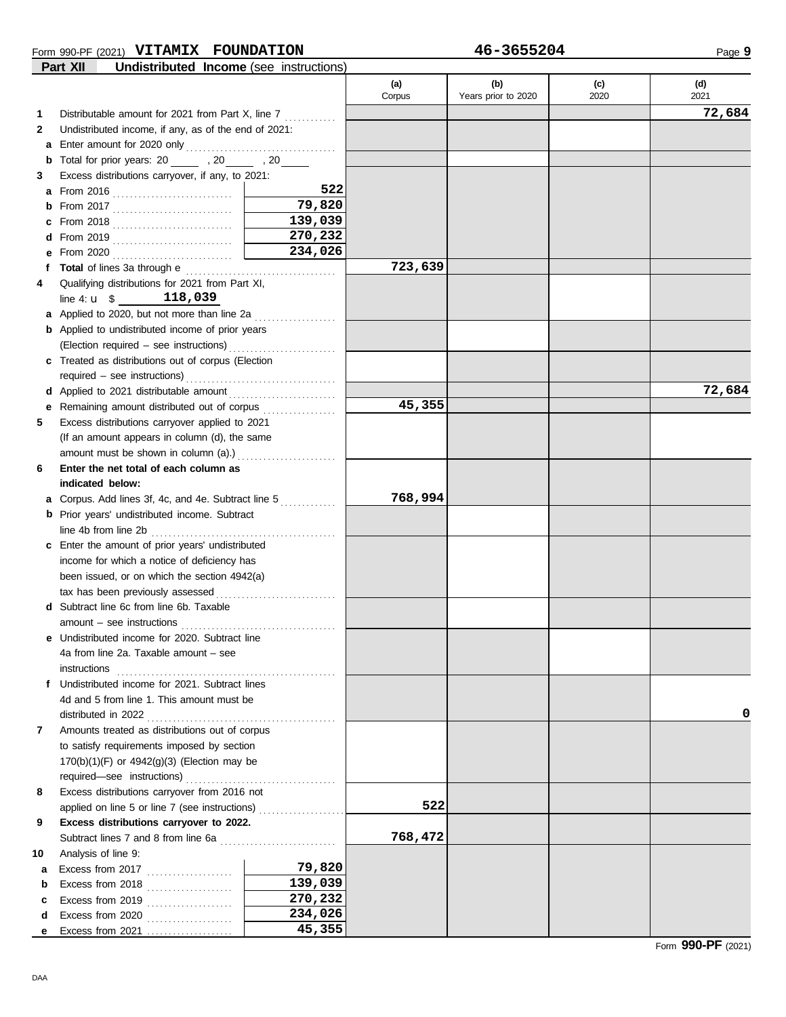#### Form 990-PF (2021) **VITAMIX FOUNDATION 46-3655204**

|    | Undistributed Income (see instructions)<br>Part XII                                                                                                                                                                            |                   |         |                     |      |        |
|----|--------------------------------------------------------------------------------------------------------------------------------------------------------------------------------------------------------------------------------|-------------------|---------|---------------------|------|--------|
|    |                                                                                                                                                                                                                                |                   | (a)     | (b)                 | (c)  | (d)    |
|    |                                                                                                                                                                                                                                |                   | Corpus  | Years prior to 2020 | 2020 | 2021   |
| 1  | Distributable amount for 2021 from Part X, line 7                                                                                                                                                                              |                   |         |                     |      | 72,684 |
| 2  | Undistributed income, if any, as of the end of 2021:                                                                                                                                                                           |                   |         |                     |      |        |
| a  |                                                                                                                                                                                                                                |                   |         |                     |      |        |
| b  | Total for prior years: 20 ______ , 20 _____ , 20 _____                                                                                                                                                                         |                   |         |                     |      |        |
| 3  | Excess distributions carryover, if any, to 2021:                                                                                                                                                                               |                   |         |                     |      |        |
| a  |                                                                                                                                                                                                                                | 522               |         |                     |      |        |
| b  | From 2017 $\ldots$                                                                                                                                                                                                             | 79,820            |         |                     |      |        |
| c  |                                                                                                                                                                                                                                | 139,039           |         |                     |      |        |
| d  |                                                                                                                                                                                                                                | 270,232           |         |                     |      |        |
| е  | From 2020 $\ldots$                                                                                                                                                                                                             | 234,026           |         |                     |      |        |
| f  | Total of lines 3a through e contains and the state of lines and the state of the state of the state of the state of the state of the state of the state of the state of the state of the state of the state of the state of th |                   | 723,639 |                     |      |        |
| 4  | Qualifying distributions for 2021 from Part XI,                                                                                                                                                                                |                   |         |                     |      |        |
|    | line 4: $\mathbf{u}$ \$ 118,039                                                                                                                                                                                                |                   |         |                     |      |        |
|    | a Applied to 2020, but not more than line 2a                                                                                                                                                                                   |                   |         |                     |      |        |
|    | <b>b</b> Applied to undistributed income of prior years                                                                                                                                                                        |                   |         |                     |      |        |
|    |                                                                                                                                                                                                                                |                   |         |                     |      |        |
|    | c Treated as distributions out of corpus (Election                                                                                                                                                                             |                   |         |                     |      |        |
|    | required - see instructions)                                                                                                                                                                                                   |                   |         |                     |      |        |
| d  | Applied to 2021 distributable amount                                                                                                                                                                                           |                   |         |                     |      | 72,684 |
| е  | Remaining amount distributed out of corpus [11][11] Remaining amount distributed out of corpus [11] Among Semaining Semaining amount Remaining Semaining Semaining Semaining Semaining Semaining Semaining Semaining Semaining |                   | 45,355  |                     |      |        |
| 5  | Excess distributions carryover applied to 2021                                                                                                                                                                                 |                   |         |                     |      |        |
|    | (If an amount appears in column (d), the same                                                                                                                                                                                  |                   |         |                     |      |        |
|    | amount must be shown in column (a).)                                                                                                                                                                                           | .                 |         |                     |      |        |
| 6  | Enter the net total of each column as                                                                                                                                                                                          |                   |         |                     |      |        |
|    | indicated below:                                                                                                                                                                                                               |                   |         |                     |      |        |
| а  | Corpus. Add lines 3f, 4c, and 4e. Subtract line 5                                                                                                                                                                              |                   | 768,994 |                     |      |        |
| b  | Prior years' undistributed income. Subtract                                                                                                                                                                                    |                   |         |                     |      |        |
|    | line 4b from line 2b                                                                                                                                                                                                           |                   |         |                     |      |        |
| c  | Enter the amount of prior years' undistributed                                                                                                                                                                                 |                   |         |                     |      |        |
|    | income for which a notice of deficiency has                                                                                                                                                                                    |                   |         |                     |      |        |
|    | been issued, or on which the section 4942(a)                                                                                                                                                                                   |                   |         |                     |      |        |
|    | tax has been previously assessed                                                                                                                                                                                               |                   |         |                     |      |        |
|    | d Subtract line 6c from line 6b. Taxable                                                                                                                                                                                       |                   |         |                     |      |        |
|    |                                                                                                                                                                                                                                |                   |         |                     |      |        |
|    | e Undistributed income for 2020. Subtract line                                                                                                                                                                                 |                   |         |                     |      |        |
|    | 4a from line 2a. Taxable amount - see                                                                                                                                                                                          |                   |         |                     |      |        |
|    | instructions                                                                                                                                                                                                                   |                   |         |                     |      |        |
|    | f Undistributed income for 2021. Subtract lines                                                                                                                                                                                |                   |         |                     |      |        |
|    | 4d and 5 from line 1. This amount must be                                                                                                                                                                                      |                   |         |                     |      |        |
|    | distributed in 2022                                                                                                                                                                                                            |                   |         |                     |      | 0      |
| 7  | Amounts treated as distributions out of corpus                                                                                                                                                                                 |                   |         |                     |      |        |
|    | to satisfy requirements imposed by section                                                                                                                                                                                     |                   |         |                     |      |        |
|    | 170(b)(1)(F) or 4942(g)(3) (Election may be                                                                                                                                                                                    |                   |         |                     |      |        |
|    |                                                                                                                                                                                                                                |                   |         |                     |      |        |
| 8  | Excess distributions carryover from 2016 not                                                                                                                                                                                   |                   |         |                     |      |        |
|    | applied on line 5 or line 7 (see instructions)                                                                                                                                                                                 |                   | 522     |                     |      |        |
| 9  | Excess distributions carryover to 2022.                                                                                                                                                                                        |                   |         |                     |      |        |
|    |                                                                                                                                                                                                                                |                   | 768,472 |                     |      |        |
| 10 | Analysis of line 9:                                                                                                                                                                                                            |                   |         |                     |      |        |
| a  | Excess from 2017                                                                                                                                                                                                               | 79,820            |         |                     |      |        |
| b  | Excess from 2018                                                                                                                                                                                                               | 139,039           |         |                     |      |        |
| c  | Excess from 2019                                                                                                                                                                                                               | 270,232           |         |                     |      |        |
| d  | Excess from 2020                                                                                                                                                                                                               | 234,026<br>45,355 |         |                     |      |        |
| е  | Excess from $2021$                                                                                                                                                                                                             |                   |         |                     |      |        |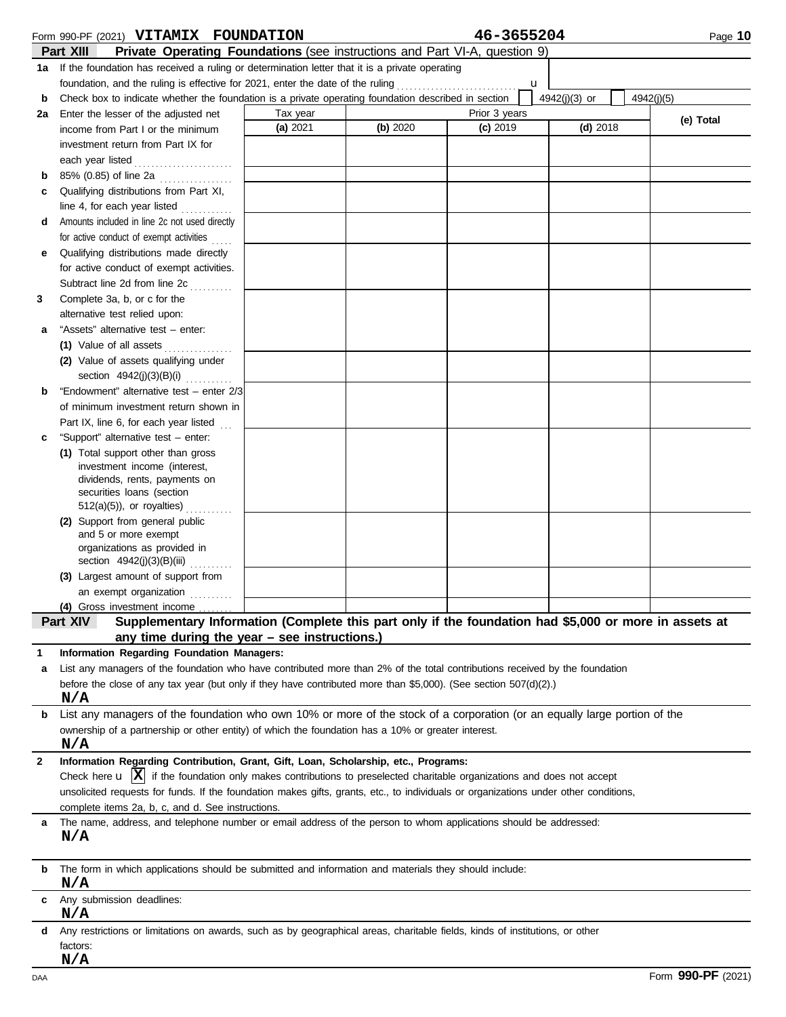|              | Form 990-PF (2021) VITAMIX FOUNDATION                                                                                                   |          |          | 46-3655204    |               | Page 10    |
|--------------|-----------------------------------------------------------------------------------------------------------------------------------------|----------|----------|---------------|---------------|------------|
|              | Part XIII<br>Private Operating Foundations (see instructions and Part VI-A, question 9)                                                 |          |          |               |               |            |
|              | 1a If the foundation has received a ruling or determination letter that it is a private operating                                       |          |          |               |               |            |
|              | foundation, and the ruling is effective for 2021, enter the date of the ruling                                                          |          |          | u             |               |            |
| b            | Check box to indicate whether the foundation is a private operating foundation described in section                                     |          |          |               | 4942(j)(3) or | 4942(j)(5) |
| 2a           | Enter the lesser of the adjusted net                                                                                                    | Tax year |          | Prior 3 years |               |            |
|              | income from Part I or the minimum                                                                                                       | (a) 2021 | (b) 2020 | $(c)$ 2019    | $(d)$ 2018    | (e) Total  |
|              | investment return from Part IX for                                                                                                      |          |          |               |               |            |
|              | each year listed                                                                                                                        |          |          |               |               |            |
| b            | 85% (0.85) of line 2a                                                                                                                   |          |          |               |               |            |
| c            | Qualifying distributions from Part XI,                                                                                                  |          |          |               |               |            |
|              | line 4, for each year listed $\ldots$                                                                                                   |          |          |               |               |            |
| d            | Amounts included in line 2c not used directly                                                                                           |          |          |               |               |            |
|              | for active conduct of exempt activities                                                                                                 |          |          |               |               |            |
| е            | Qualifying distributions made directly                                                                                                  |          |          |               |               |            |
|              | for active conduct of exempt activities.                                                                                                |          |          |               |               |            |
|              | Subtract line 2d from line 2c                                                                                                           |          |          |               |               |            |
| 3            | .<br>Complete 3a, b, or c for the                                                                                                       |          |          |               |               |            |
|              | alternative test relied upon:                                                                                                           |          |          |               |               |            |
| а            | "Assets" alternative test - enter:                                                                                                      |          |          |               |               |            |
|              | (1) Value of all assets                                                                                                                 |          |          |               |               |            |
|              | .<br>(2) Value of assets qualifying under                                                                                               |          |          |               |               |            |
|              | section $4942(j)(3)(B)(i)$                                                                                                              |          |          |               |               |            |
|              | "Endowment" alternative test - enter 2/3                                                                                                |          |          |               |               |            |
| b            |                                                                                                                                         |          |          |               |               |            |
|              | of minimum investment return shown in                                                                                                   |          |          |               |               |            |
|              | Part IX, line 6, for each year listed                                                                                                   |          |          |               |               |            |
| с            | "Support" alternative test - enter:                                                                                                     |          |          |               |               |            |
|              | (1) Total support other than gross<br>investment income (interest,                                                                      |          |          |               |               |            |
|              | dividends, rents, payments on                                                                                                           |          |          |               |               |            |
|              | securities loans (section                                                                                                               |          |          |               |               |            |
|              | $512(a)(5)$ , or royalties)                                                                                                             |          |          |               |               |            |
|              | (2) Support from general public                                                                                                         |          |          |               |               |            |
|              | and 5 or more exempt                                                                                                                    |          |          |               |               |            |
|              | organizations as provided in                                                                                                            |          |          |               |               |            |
|              | section $4942(j)(3)(B)(iii)$                                                                                                            |          |          |               |               |            |
|              | (3) Largest amount of support from                                                                                                      |          |          |               |               |            |
|              | an exempt organization                                                                                                                  |          |          |               |               |            |
|              | (4) Gross investment income                                                                                                             |          |          |               |               |            |
|              | Supplementary Information (Complete this part only if the foundation had \$5,000 or more in assets at<br>Part XIV                       |          |          |               |               |            |
|              | any time during the year $-$ see instructions.)                                                                                         |          |          |               |               |            |
| 1            | Information Regarding Foundation Managers:                                                                                              |          |          |               |               |            |
| а            | List any managers of the foundation who have contributed more than 2% of the total contributions received by the foundation             |          |          |               |               |            |
|              | before the close of any tax year (but only if they have contributed more than \$5,000). (See section $507(d)(2)$ .)                     |          |          |               |               |            |
|              | N/A                                                                                                                                     |          |          |               |               |            |
| b            | List any managers of the foundation who own 10% or more of the stock of a corporation (or an equally large portion of the               |          |          |               |               |            |
|              | ownership of a partnership or other entity) of which the foundation has a 10% or greater interest.                                      |          |          |               |               |            |
|              | N/A                                                                                                                                     |          |          |               |               |            |
| $\mathbf{2}$ | Information Regarding Contribution, Grant, Gift, Loan, Scholarship, etc., Programs:                                                     |          |          |               |               |            |
|              | Check here $\bf{u}$   $\bf{X}$   if the foundation only makes contributions to preselected charitable organizations and does not accept |          |          |               |               |            |
|              | unsolicited requests for funds. If the foundation makes gifts, grants, etc., to individuals or organizations under other conditions,    |          |          |               |               |            |
|              | complete items 2a, b, c, and d. See instructions.                                                                                       |          |          |               |               |            |
| a            | The name, address, and telephone number or email address of the person to whom applications should be addressed:                        |          |          |               |               |            |
|              | N/A                                                                                                                                     |          |          |               |               |            |
|              |                                                                                                                                         |          |          |               |               |            |
| b            | The form in which applications should be submitted and information and materials they should include:                                   |          |          |               |               |            |
|              | N/A                                                                                                                                     |          |          |               |               |            |
| c            | Any submission deadlines:                                                                                                               |          |          |               |               |            |
|              | N/A                                                                                                                                     |          |          |               |               |            |
| d            | Any restrictions or limitations on awards, such as by geographical areas, charitable fields, kinds of institutions, or other            |          |          |               |               |            |
|              | factors:                                                                                                                                |          |          |               |               |            |
|              | N/A                                                                                                                                     |          |          |               |               |            |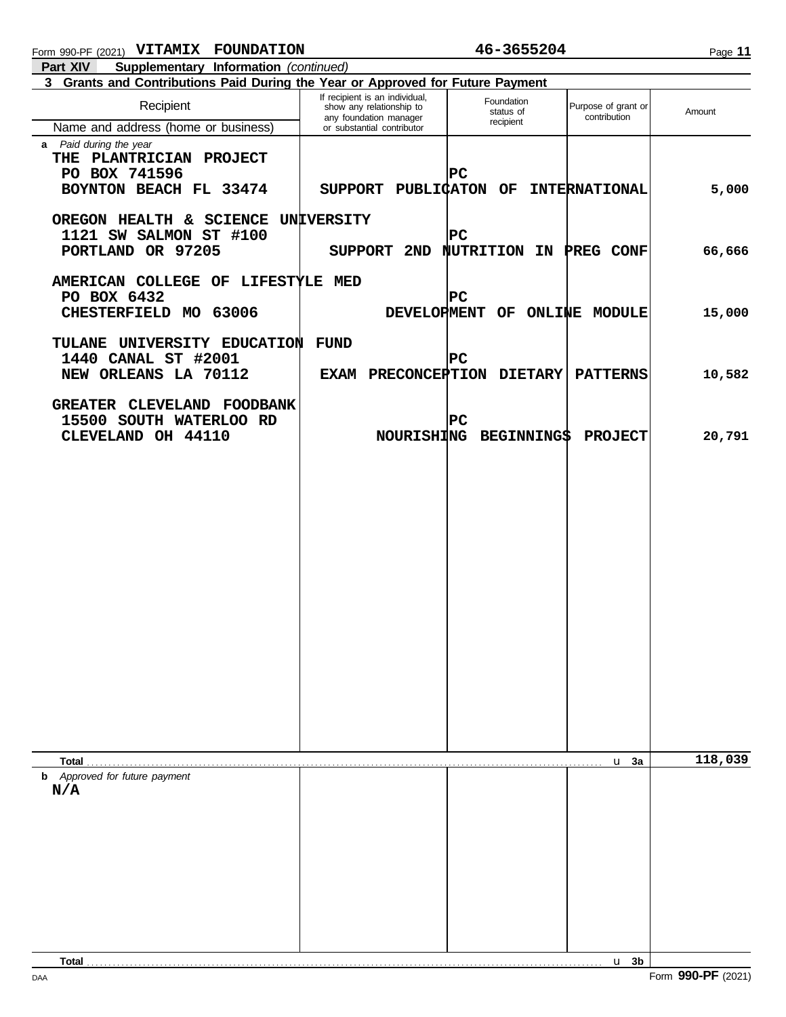Page **11**

| 3 Grants and Contributions Paid During the Year or Approved for Future Payment |                                                                                      |                                    |                                     |         |
|--------------------------------------------------------------------------------|--------------------------------------------------------------------------------------|------------------------------------|-------------------------------------|---------|
| Recipient                                                                      | If recipient is an individual,<br>show any relationship to<br>any foundation manager | Foundation<br>status of            | Purpose of grant or<br>contribution | Amount  |
| Name and address (home or business)                                            | or substantial contributor                                                           | recipient                          |                                     |         |
| a Paid during the year                                                         |                                                                                      |                                    |                                     |         |
| THE PLANTRICIAN PROJECT                                                        |                                                                                      |                                    |                                     |         |
| PO BOX 741596                                                                  |                                                                                      | $ {\tt PC} $                       |                                     |         |
| BOYNTON BEACH FL 33474                                                         | SUPPORT PUBLICATON OF                                                                |                                    | <b>INTERNATIONAL</b>                | 5,000   |
|                                                                                |                                                                                      |                                    |                                     |         |
|                                                                                |                                                                                      |                                    |                                     |         |
| OREGON HEALTH & SCIENCE UNIVERSITY                                             |                                                                                      |                                    |                                     |         |
| 1121 SW SALMON ST #100                                                         |                                                                                      | $ {\tt PC} $                       |                                     |         |
| PORTLAND OR 97205                                                              |                                                                                      | SUPPORT 2ND NUTRITION IN PREG CONF |                                     | 66,666  |
|                                                                                |                                                                                      |                                    |                                     |         |
| AMERICAN COLLEGE OF LIFESTYLE MED                                              |                                                                                      |                                    |                                     |         |
| PO BOX 6432                                                                    |                                                                                      | $ {\tt PC} $                       |                                     |         |
| CHESTERFIELD MO 63006                                                          |                                                                                      | DEVELOPMENT OF ONLINE MODULE       |                                     | 15,000  |
|                                                                                |                                                                                      |                                    |                                     |         |
|                                                                                |                                                                                      |                                    |                                     |         |
| TULANE UNIVERSITY EDUCATION                                                    | <b>FUND</b>                                                                          |                                    |                                     |         |
| 1440 CANAL ST #2001                                                            |                                                                                      | $ {\tt PC} $                       |                                     |         |
| NEW ORLEANS LA 70112                                                           | EXAM PRECONCEPTION DIETARY                                                           |                                    | <b>PATTERNS</b>                     | 10,582  |
|                                                                                |                                                                                      |                                    |                                     |         |
| GREATER CLEVELAND FOODBANK                                                     |                                                                                      |                                    |                                     |         |
| 15500 SOUTH WATERLOO RD                                                        |                                                                                      | $ {\tt PC} $                       |                                     |         |
| CLEVELAND OH 44110                                                             |                                                                                      | NOURISHING BEGINNING\$             | <b>PROJECT</b>                      | 20,791  |
|                                                                                |                                                                                      |                                    |                                     |         |
|                                                                                |                                                                                      |                                    |                                     |         |
|                                                                                |                                                                                      |                                    |                                     |         |
|                                                                                |                                                                                      |                                    |                                     |         |
|                                                                                |                                                                                      |                                    |                                     |         |
|                                                                                |                                                                                      |                                    |                                     |         |
|                                                                                |                                                                                      |                                    |                                     |         |
|                                                                                |                                                                                      |                                    |                                     |         |
|                                                                                |                                                                                      |                                    |                                     |         |
|                                                                                |                                                                                      |                                    |                                     |         |
|                                                                                |                                                                                      |                                    |                                     |         |
|                                                                                |                                                                                      |                                    |                                     |         |
|                                                                                |                                                                                      |                                    |                                     |         |
|                                                                                |                                                                                      |                                    |                                     |         |
|                                                                                |                                                                                      |                                    |                                     |         |
|                                                                                |                                                                                      |                                    |                                     |         |
|                                                                                |                                                                                      |                                    |                                     |         |
|                                                                                |                                                                                      |                                    |                                     |         |
|                                                                                |                                                                                      |                                    |                                     |         |
|                                                                                |                                                                                      |                                    |                                     |         |
|                                                                                |                                                                                      |                                    |                                     |         |
|                                                                                |                                                                                      |                                    |                                     |         |
|                                                                                |                                                                                      |                                    |                                     |         |
| Total                                                                          |                                                                                      |                                    | u <sub>3a</sub>                     | 118,039 |
| <b>b</b> Approved for future payment                                           |                                                                                      |                                    |                                     |         |
| N/A                                                                            |                                                                                      |                                    |                                     |         |
|                                                                                |                                                                                      |                                    |                                     |         |
|                                                                                |                                                                                      |                                    |                                     |         |
|                                                                                |                                                                                      |                                    |                                     |         |
|                                                                                |                                                                                      |                                    |                                     |         |
|                                                                                |                                                                                      |                                    |                                     |         |
|                                                                                |                                                                                      |                                    |                                     |         |
|                                                                                |                                                                                      |                                    |                                     |         |
|                                                                                |                                                                                      |                                    |                                     |         |
|                                                                                |                                                                                      |                                    |                                     |         |
|                                                                                |                                                                                      |                                    |                                     |         |
|                                                                                |                                                                                      |                                    |                                     |         |

**Total** . . . . . . . . . . . . . . . . . . . . . . . . . . . . . . . . . . . . . . . . . . . . . . . . . . . . . . . . . . . . . . . . . . . . . . . . . . . . . . . . . . . . . . . . . . . . . . . . . . . . . . . . . . . . . . . . . . . . . . . . **3b**

 $u$  3b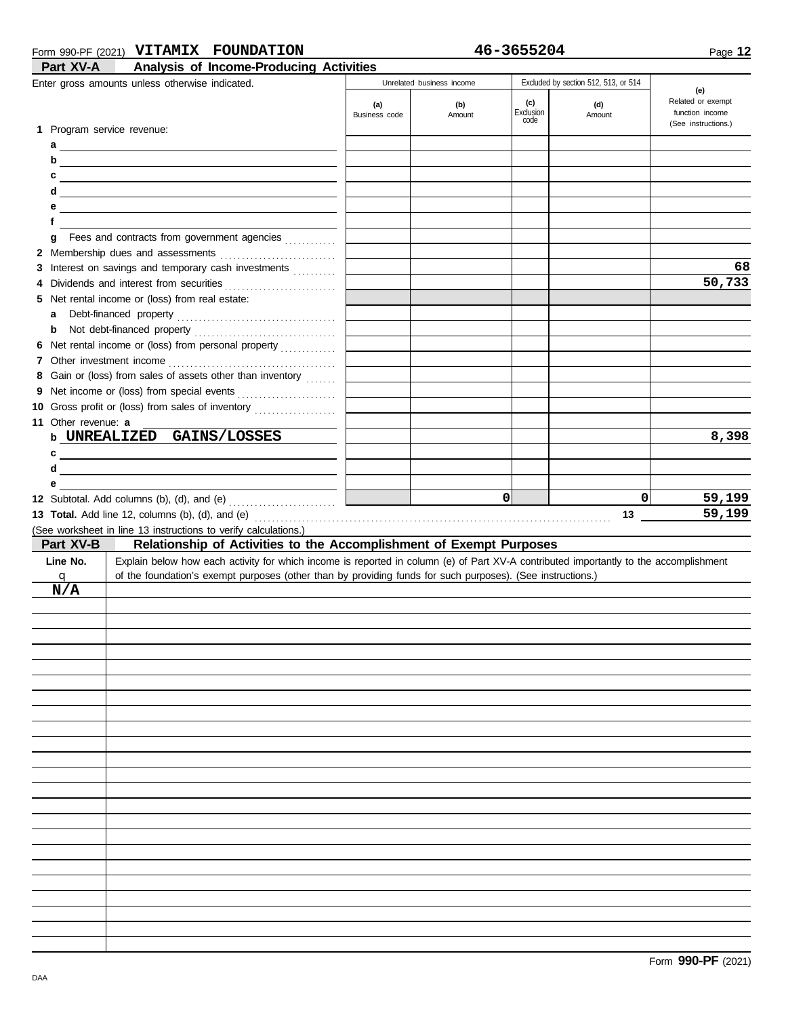#### Form 990-PF (2021) **VITAMIX FOUNDATION 46-3655204**

| 46-3655204 |  |  |  |  |
|------------|--|--|--|--|
|------------|--|--|--|--|

| Part XV-A                  | Analysis of Income-Producing Activities                                                                                                |                      |                                            |                  |                                                       |                                             |
|----------------------------|----------------------------------------------------------------------------------------------------------------------------------------|----------------------|--------------------------------------------|------------------|-------------------------------------------------------|---------------------------------------------|
|                            | Enter gross amounts unless otherwise indicated.                                                                                        | (a)<br>Business code | Unrelated business income<br>(b)<br>Amount | (c)<br>Exclusion | Excluded by section 512, 513, or 514<br>(d)<br>Amount | (e)<br>Related or exempt<br>function income |
| 1 Program service revenue: |                                                                                                                                        |                      |                                            | code             |                                                       | (See instructions.)                         |
|                            |                                                                                                                                        |                      |                                            |                  |                                                       |                                             |
|                            | $\mathsf{d}$                                                                                                                           |                      |                                            |                  |                                                       |                                             |
| c                          | <u> 1989 - Johann Stein, mars an deus Frankryk († 1958)</u>                                                                            |                      |                                            |                  |                                                       |                                             |
| d                          | <u> 1989 - Johann Stein, mars an deus Amerikaansk kommunister (</u>                                                                    |                      |                                            |                  |                                                       |                                             |
|                            |                                                                                                                                        |                      |                                            |                  |                                                       |                                             |
| f                          |                                                                                                                                        |                      |                                            |                  |                                                       |                                             |
| g                          | Fees and contracts from government agencies                                                                                            |                      |                                            |                  |                                                       |                                             |
|                            |                                                                                                                                        |                      |                                            |                  |                                                       |                                             |
|                            | 3 Interest on savings and temporary cash investments                                                                                   |                      |                                            |                  |                                                       | 68<br>50,733                                |
| 4                          | 5 Net rental income or (loss) from real estate:                                                                                        |                      |                                            |                  |                                                       |                                             |
| a                          |                                                                                                                                        |                      |                                            |                  |                                                       |                                             |
| b                          |                                                                                                                                        |                      |                                            |                  |                                                       |                                             |
|                            | 6 Net rental income or (loss) from personal property                                                                                   |                      |                                            |                  |                                                       |                                             |
|                            |                                                                                                                                        |                      |                                            |                  |                                                       |                                             |
|                            | 8 Gain or (loss) from sales of assets other than inventory                                                                             |                      |                                            |                  |                                                       |                                             |
|                            | 9 Net income or (loss) from special events                                                                                             |                      |                                            |                  |                                                       |                                             |
|                            | 10 Gross profit or (loss) from sales of inventory                                                                                      |                      |                                            |                  |                                                       |                                             |
| 11 Other revenue: a        |                                                                                                                                        |                      |                                            |                  |                                                       |                                             |
|                            | b UNREALIZED GAINS/LOSSES                                                                                                              |                      |                                            |                  |                                                       | 8,398                                       |
|                            | $c \overline{\phantom{a}}$                                                                                                             |                      |                                            |                  |                                                       |                                             |
| d                          | <u> 1989 - Johann Barn, mars ann an t-Amhainn an t-Amhainn an t-Amhainn an t-Amhainn an t-Amhainn an t-Amhainn an</u>                  |                      |                                            |                  |                                                       |                                             |
| е                          |                                                                                                                                        |                      |                                            |                  |                                                       |                                             |
|                            | 12 Subtotal. Add columns (b), (d), and (e) $\ldots$ $\ldots$ $\ldots$ $\ldots$                                                         |                      |                                            | $\Omega$         | 0                                                     | 59,199                                      |
|                            |                                                                                                                                        |                      |                                            |                  | 13                                                    | 59,199                                      |
| Part XV-B                  | (See worksheet in line 13 instructions to verify calculations.)<br>Relationship of Activities to the Accomplishment of Exempt Purposes |                      |                                            |                  |                                                       |                                             |
| Line No.                   | Explain below how each activity for which income is reported in column (e) of Part XV-A contributed importantly to the accomplishment  |                      |                                            |                  |                                                       |                                             |
| q                          | of the foundation's exempt purposes (other than by providing funds for such purposes). (See instructions.)                             |                      |                                            |                  |                                                       |                                             |
| N/A                        |                                                                                                                                        |                      |                                            |                  |                                                       |                                             |
|                            |                                                                                                                                        |                      |                                            |                  |                                                       |                                             |
|                            |                                                                                                                                        |                      |                                            |                  |                                                       |                                             |
|                            |                                                                                                                                        |                      |                                            |                  |                                                       |                                             |
|                            |                                                                                                                                        |                      |                                            |                  |                                                       |                                             |
|                            |                                                                                                                                        |                      |                                            |                  |                                                       |                                             |
|                            |                                                                                                                                        |                      |                                            |                  |                                                       |                                             |
|                            |                                                                                                                                        |                      |                                            |                  |                                                       |                                             |
|                            |                                                                                                                                        |                      |                                            |                  |                                                       |                                             |
|                            |                                                                                                                                        |                      |                                            |                  |                                                       |                                             |
|                            |                                                                                                                                        |                      |                                            |                  |                                                       |                                             |
|                            |                                                                                                                                        |                      |                                            |                  |                                                       |                                             |
|                            |                                                                                                                                        |                      |                                            |                  |                                                       |                                             |
|                            |                                                                                                                                        |                      |                                            |                  |                                                       |                                             |
|                            |                                                                                                                                        |                      |                                            |                  |                                                       |                                             |
|                            |                                                                                                                                        |                      |                                            |                  |                                                       |                                             |
|                            |                                                                                                                                        |                      |                                            |                  |                                                       |                                             |
|                            |                                                                                                                                        |                      |                                            |                  |                                                       |                                             |
|                            |                                                                                                                                        |                      |                                            |                  |                                                       |                                             |
|                            |                                                                                                                                        |                      |                                            |                  |                                                       |                                             |
|                            |                                                                                                                                        |                      |                                            |                  |                                                       |                                             |
|                            |                                                                                                                                        |                      |                                            |                  |                                                       |                                             |
|                            |                                                                                                                                        |                      |                                            |                  |                                                       |                                             |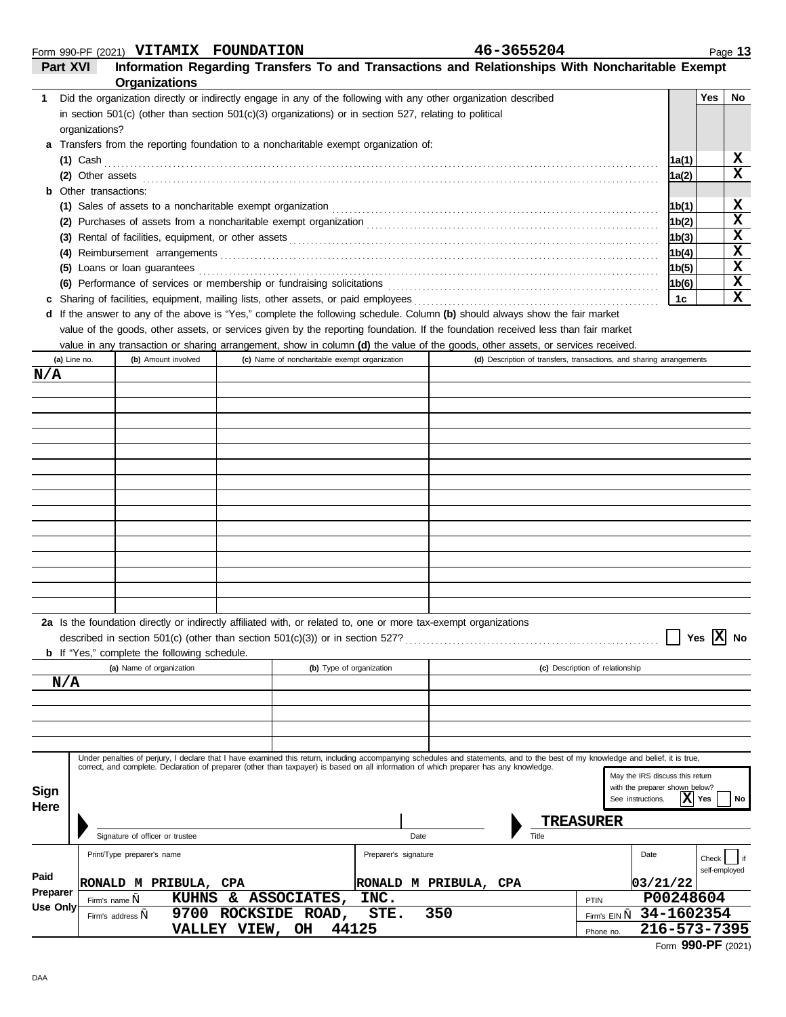|  | Form 990-PF (2021) VITAMIX FOUNDATION | 46-3655204 |
|--|---------------------------------------|------------|
|  |                                       |            |

| 46-3655204 |  |
|------------|--|
|------------|--|

| Part XVI     |                     | Information Regarding Transfers To and Transactions and Relationships With Noncharitable Exempt<br>Organizations                                                                                                                                                                                                          |                 |                                               |                       |     |       |                                                                                        |              |                        |             |
|--------------|---------------------|---------------------------------------------------------------------------------------------------------------------------------------------------------------------------------------------------------------------------------------------------------------------------------------------------------------------------|-----------------|-----------------------------------------------|-----------------------|-----|-------|----------------------------------------------------------------------------------------|--------------|------------------------|-------------|
| 1            |                     | Did the organization directly or indirectly engage in any of the following with any other organization described                                                                                                                                                                                                          |                 |                                               |                       |     |       |                                                                                        |              | Yes                    | No          |
|              |                     | in section $501(c)$ (other than section $501(c)(3)$ organizations) or in section 527, relating to political                                                                                                                                                                                                               |                 |                                               |                       |     |       |                                                                                        |              |                        |             |
|              | organizations?      |                                                                                                                                                                                                                                                                                                                           |                 |                                               |                       |     |       |                                                                                        |              |                        |             |
|              |                     | Transfers from the reporting foundation to a noncharitable exempt organization of:                                                                                                                                                                                                                                        |                 |                                               |                       |     |       |                                                                                        |              |                        |             |
|              | (1) Cash            |                                                                                                                                                                                                                                                                                                                           |                 |                                               |                       |     |       |                                                                                        | 1a(1)        |                        | x           |
|              |                     | (2) Other assets $\ldots$ assets $\ldots$                                                                                                                                                                                                                                                                                 |                 |                                               |                       |     |       |                                                                                        | 1a(2)        |                        | $\mathbf x$ |
| b            | Other transactions: |                                                                                                                                                                                                                                                                                                                           |                 |                                               |                       |     |       |                                                                                        |              |                        |             |
|              |                     | (1) Sales of assets to a noncharitable exempt organization                                                                                                                                                                                                                                                                |                 |                                               |                       |     |       |                                                                                        | 1b(1)        |                        | x           |
|              |                     |                                                                                                                                                                                                                                                                                                                           |                 |                                               |                       |     |       |                                                                                        | 1b(2)        |                        | $\mathbf x$ |
| (3)          |                     |                                                                                                                                                                                                                                                                                                                           |                 |                                               |                       |     |       |                                                                                        | 1b(3)        |                        | X           |
| (4)          |                     |                                                                                                                                                                                                                                                                                                                           |                 |                                               |                       |     |       |                                                                                        | 1b(4)        |                        | $\mathbf x$ |
| (5)          |                     | Loans or loan guarantees                                                                                                                                                                                                                                                                                                  |                 |                                               |                       |     |       |                                                                                        | 1b(5)        |                        | X<br>X      |
|              |                     | (6) Performance of services or membership or fundraising solicitations [11] content content content of services or membership or fundraising solicitations                                                                                                                                                                |                 |                                               |                       |     |       |                                                                                        | 1b(6)<br>1c  |                        | $\mathbf x$ |
| c<br>d       |                     | If the answer to any of the above is "Yes," complete the following schedule. Column (b) should always show the fair market                                                                                                                                                                                                |                 |                                               |                       |     |       |                                                                                        |              |                        |             |
|              |                     | value of the goods, other assets, or services given by the reporting foundation. If the foundation received less than fair market                                                                                                                                                                                         |                 |                                               |                       |     |       |                                                                                        |              |                        |             |
|              |                     | value in any transaction or sharing arrangement, show in column (d) the value of the goods, other assets, or services received.                                                                                                                                                                                           |                 |                                               |                       |     |       |                                                                                        |              |                        |             |
| (a) Line no. |                     | (b) Amount involved                                                                                                                                                                                                                                                                                                       |                 | (c) Name of noncharitable exempt organization |                       |     |       | (d) Description of transfers, transactions, and sharing arrangements                   |              |                        |             |
| N/A          |                     |                                                                                                                                                                                                                                                                                                                           |                 |                                               |                       |     |       |                                                                                        |              |                        |             |
|              |                     |                                                                                                                                                                                                                                                                                                                           |                 |                                               |                       |     |       |                                                                                        |              |                        |             |
|              |                     |                                                                                                                                                                                                                                                                                                                           |                 |                                               |                       |     |       |                                                                                        |              |                        |             |
|              |                     |                                                                                                                                                                                                                                                                                                                           |                 |                                               |                       |     |       |                                                                                        |              |                        |             |
|              |                     |                                                                                                                                                                                                                                                                                                                           |                 |                                               |                       |     |       |                                                                                        |              |                        |             |
|              |                     |                                                                                                                                                                                                                                                                                                                           |                 |                                               |                       |     |       |                                                                                        |              |                        |             |
|              |                     |                                                                                                                                                                                                                                                                                                                           |                 |                                               |                       |     |       |                                                                                        |              |                        |             |
|              |                     |                                                                                                                                                                                                                                                                                                                           |                 |                                               |                       |     |       |                                                                                        |              |                        |             |
|              |                     |                                                                                                                                                                                                                                                                                                                           |                 |                                               |                       |     |       |                                                                                        |              |                        |             |
|              |                     |                                                                                                                                                                                                                                                                                                                           |                 |                                               |                       |     |       |                                                                                        |              |                        |             |
|              |                     |                                                                                                                                                                                                                                                                                                                           |                 |                                               |                       |     |       |                                                                                        |              |                        |             |
|              |                     |                                                                                                                                                                                                                                                                                                                           |                 |                                               |                       |     |       |                                                                                        |              |                        |             |
|              |                     |                                                                                                                                                                                                                                                                                                                           |                 |                                               |                       |     |       |                                                                                        |              |                        |             |
|              |                     |                                                                                                                                                                                                                                                                                                                           |                 |                                               |                       |     |       |                                                                                        |              |                        |             |
|              |                     |                                                                                                                                                                                                                                                                                                                           |                 |                                               |                       |     |       |                                                                                        |              |                        |             |
|              |                     | 2a Is the foundation directly or indirectly affiliated with, or related to, one or more tax-exempt organizations<br>described in section 501(c) (other than section 501(c)(3)) or in section 527?<br><b>b</b> If "Yes," complete the following schedule.                                                                  |                 |                                               |                       |     |       |                                                                                        |              | Yes $\overline{X}$ No  |             |
|              |                     | (a) Name of organization                                                                                                                                                                                                                                                                                                  |                 | (b) Type of organization                      |                       |     |       | (c) Description of relationship                                                        |              |                        |             |
| N/A          |                     |                                                                                                                                                                                                                                                                                                                           |                 |                                               |                       |     |       |                                                                                        |              |                        |             |
|              |                     |                                                                                                                                                                                                                                                                                                                           |                 |                                               |                       |     |       |                                                                                        |              |                        |             |
|              |                     |                                                                                                                                                                                                                                                                                                                           |                 |                                               |                       |     |       |                                                                                        |              |                        |             |
|              |                     |                                                                                                                                                                                                                                                                                                                           |                 |                                               |                       |     |       |                                                                                        |              |                        |             |
| Sign         |                     | Under penalties of perjury, I declare that I have examined this return, including accompanying schedules and statements, and to the best of my knowledge and belief, it is true,<br>correct, and complete. Declaration of preparer (other than taxpayer) is based on all information of which preparer has any knowledge. |                 |                                               |                       |     |       | May the IRS discuss this return<br>with the preparer shown below?<br>See instructions. |              | Yes                    | No          |
| Here         |                     |                                                                                                                                                                                                                                                                                                                           |                 |                                               |                       |     |       | TREASURER                                                                              |              |                        |             |
|              |                     | Signature of officer or trustee                                                                                                                                                                                                                                                                                           |                 |                                               | Date                  |     | Title |                                                                                        |              |                        |             |
|              |                     |                                                                                                                                                                                                                                                                                                                           |                 |                                               | Preparer's signature  |     |       |                                                                                        |              |                        |             |
|              |                     | Print/Type preparer's name                                                                                                                                                                                                                                                                                                |                 |                                               |                       |     |       | Date                                                                                   |              | Check<br>self-employed |             |
| Paid         |                     | RONALD M PRIBULA, CPA                                                                                                                                                                                                                                                                                                     |                 |                                               | RONALD M PRIBULA, CPA |     |       |                                                                                        | 03/21/22     |                        |             |
| Preparer     | Firm's name,        | <b>KUHNS</b>                                                                                                                                                                                                                                                                                                              |                 | & ASSOCIATES,                                 | INC.                  |     |       | PTIN                                                                                   | P00248604    |                        |             |
| Use Only     |                     | Firm's address,                                                                                                                                                                                                                                                                                                           |                 | 9700 ROCKSIDE ROAD,                           | STE.                  | 350 |       | Firm's EIN,                                                                            | 34-1602354   |                        |             |
|              |                     |                                                                                                                                                                                                                                                                                                                           | VALLEY VIEW, OH |                                               | 44125                 |     |       | Phone no.                                                                              | 216-573-7395 |                        |             |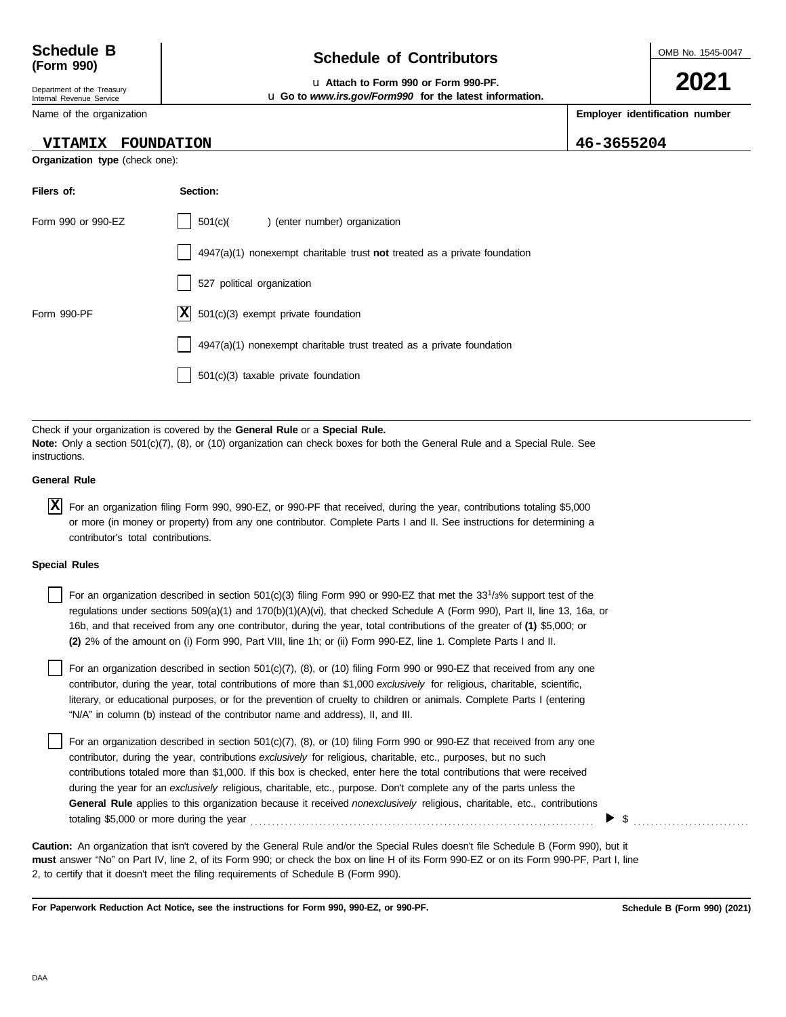| Schedule B |  |
|------------|--|
| (Form 990) |  |

#### Department of the Treasury Internal Revenue Service

Name of the organization

## **Schedule of Contributors**

u **Attach to Form 990 or Form 990-PF.** u **Go to** *www.irs.gov/Form990* **for the latest information.** OMB No. 1545-0047

**2021**

**Employer identification number**

**VITAMIX FOUNDATION 46-3655204**

| <b>VITAMIX</b> | <b>FOUNDATION</b> |
|----------------|-------------------|
|                |                   |

**Organization type** (check one):

| 501(c)( ) (enter number) organization                                     |
|---------------------------------------------------------------------------|
| 4947(a)(1) nonexempt charitable trust not treated as a private foundation |
| 527 political organization                                                |
| $ \mathbf{X} $ 501(c)(3) exempt private foundation                        |
| 4947(a)(1) nonexempt charitable trust treated as a private foundation     |
| 501(c)(3) taxable private foundation                                      |
|                                                                           |

Check if your organization is covered by the **General Rule** or a **Special Rule. Note:** Only a section 501(c)(7), (8), or (10) organization can check boxes for both the General Rule and a Special Rule. See instructions.

### **General Rule**

For an organization filing Form 990, 990-EZ, or 990-PF that received, during the year, contributions totaling \$5,000 **X**or more (in money or property) from any one contributor. Complete Parts I and II. See instructions for determining a contributor's total contributions.

### **Special Rules**

For an organization described in section 501(c)(3) filing Form 990 or 990-EZ that met the 33<sup>1</sup>/3% support test of the regulations under sections 509(a)(1) and 170(b)(1)(A)(vi), that checked Schedule A (Form 990), Part II, line 13, 16a, or 16b, and that received from any one contributor, during the year, total contributions of the greater of **(1)** \$5,000; or **(2)** 2% of the amount on (i) Form 990, Part VIII, line 1h; or (ii) Form 990-EZ, line 1. Complete Parts I and II.

literary, or educational purposes, or for the prevention of cruelty to children or animals. Complete Parts I (entering For an organization described in section 501(c)(7), (8), or (10) filing Form 990 or 990-EZ that received from any one contributor, during the year, total contributions of more than \$1,000 *exclusively* for religious, charitable, scientific, "N/A" in column (b) instead of the contributor name and address), II, and III.

For an organization described in section 501(c)(7), (8), or (10) filing Form 990 or 990-EZ that received from any one contributor, during the year, contributions *exclusively* for religious, charitable, etc., purposes, but no such contributions totaled more than \$1,000. If this box is checked, enter here the total contributions that were received during the year for an *exclusively* religious, charitable, etc., purpose. Don't complete any of the parts unless the **General Rule** applies to this organization because it received *nonexclusively* religious, charitable, etc., contributions totaling \$5,000 or more during the year . . . . . . . . . . . . . . . . . . . . . . . . . . . . . . . . . . . . . . . . . . . . . . . . . . . . . . . . . . . . . . . . . . . . . . . . . . . . . . . .

**must** answer "No" on Part IV, line 2, of its Form 990; or check the box on line H of its Form 990-EZ or on its Form 990-PF, Part I, line 2, to certify that it doesn't meet the filing requirements of Schedule B (Form 990). **Caution:** An organization that isn't covered by the General Rule and/or the Special Rules doesn't file Schedule B (Form 990), but it

**For Paperwork Reduction Act Notice, see the instructions for Form 990, 990-EZ, or 990-PF.**

**Schedule B (Form 990) (2021)**



 $\blacktriangleright$  \$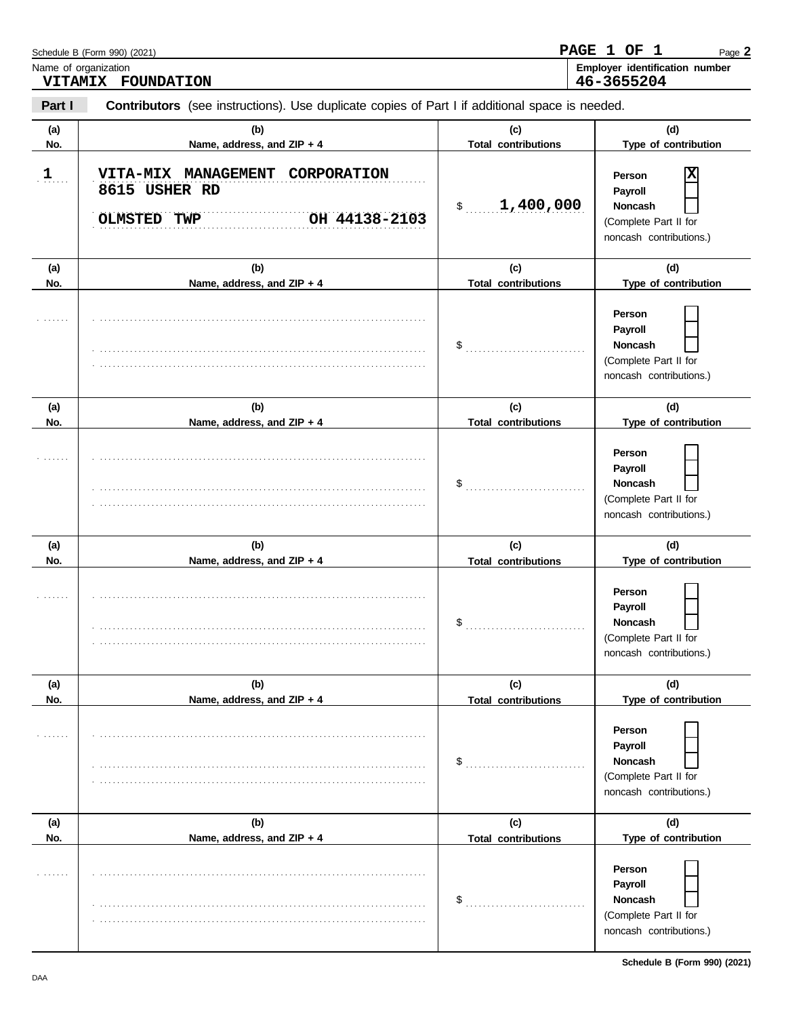|               | Schedule B (Form 990) (2021)                                                                   |                                             | PAGE 1 OF 1<br>Page 2                                                                                           |
|---------------|------------------------------------------------------------------------------------------------|---------------------------------------------|-----------------------------------------------------------------------------------------------------------------|
|               | Name of organization<br>VITAMIX FOUNDATION                                                     |                                             | Employer identification number<br>46-3655204                                                                    |
| Part I        | Contributors (see instructions). Use duplicate copies of Part I if additional space is needed. |                                             |                                                                                                                 |
| (a)<br>No.    | (b)<br>Name, address, and ZIP + 4                                                              | (c)<br><b>Total contributions</b>           | (d)<br>Type of contribution                                                                                     |
| $\frac{1}{n}$ | VITA-MIX MANAGEMENT CORPORATION<br>8615 USHER RD<br>OH 44138-2103<br><b>OLMSTED TWP</b>        | 1,400,000<br>\$                             | X<br>Person<br>Payroll<br>Noncash<br>(Complete Part II for<br>noncash contributions.)                           |
| (a)           | (b)                                                                                            | (c)                                         | (d)                                                                                                             |
| No.           | Name, address, and ZIP + 4                                                                     | <b>Total contributions</b>                  | Type of contribution                                                                                            |
|               |                                                                                                | \$                                          | Person<br>Payroll<br>Noncash<br>(Complete Part II for<br>noncash contributions.)                                |
| (a)           | (b)                                                                                            | (c)                                         | (d)                                                                                                             |
| No.           | Name, address, and ZIP + 4                                                                     | <b>Total contributions</b>                  | Type of contribution                                                                                            |
|               |                                                                                                | \$                                          | Person<br>Payroll<br>Noncash<br>(Complete Part II for<br>noncash contributions.)                                |
| (a)           | (b)                                                                                            | (c)                                         | (d)                                                                                                             |
| No.           | Name, address, and ZIP + 4                                                                     | <b>Total contributions</b><br>$\mathsf{\$}$ | Type of contribution<br>Person<br>Payroll<br>Noncash<br>(Complete Part II for<br>noncash contributions.)        |
| (a)           | (b)                                                                                            | (c)                                         | (d)                                                                                                             |
| No.           | Name, address, and ZIP + 4                                                                     | <b>Total contributions</b><br>\$            | Type of contribution<br>Person<br>Payroll<br><b>Noncash</b><br>(Complete Part II for<br>noncash contributions.) |
| (a)           | (b)                                                                                            | (c)                                         | (d)                                                                                                             |
| No.           | Name, address, and ZIP + 4                                                                     | <b>Total contributions</b><br>\$            | Type of contribution<br>Person<br>Payroll<br><b>Noncash</b><br>(Complete Part II for<br>noncash contributions.) |

**PAGE 1 OF 1**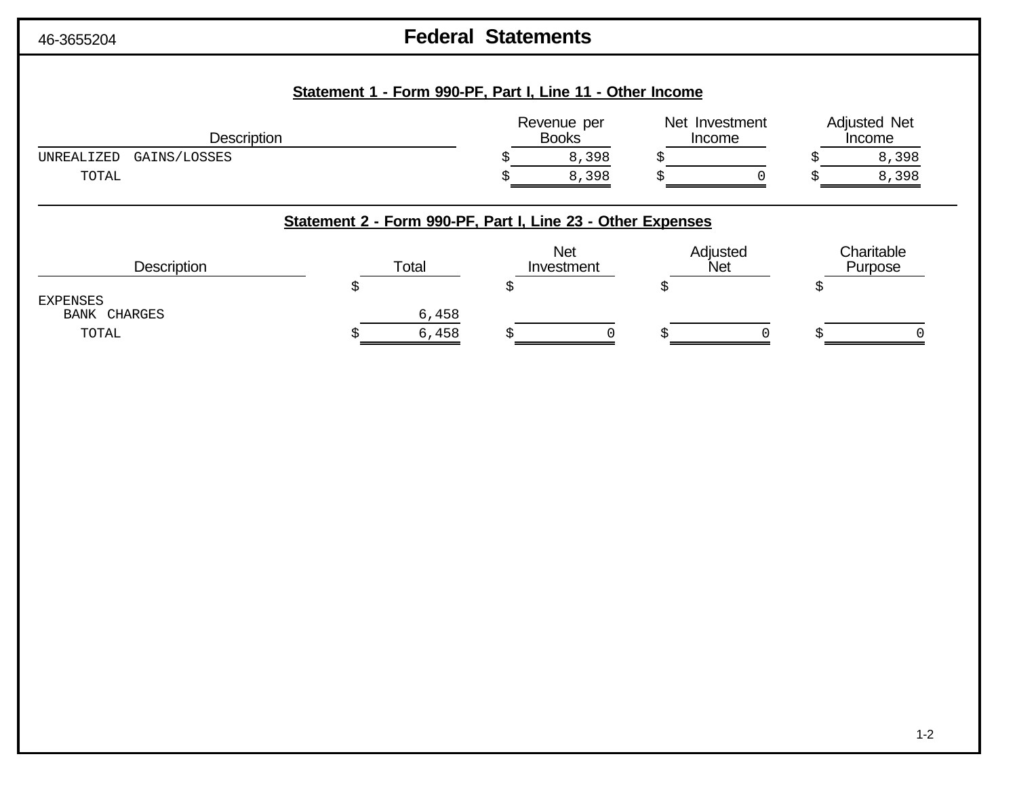# 46-3655204 **Federal Statements**

## **Statement 1 - Form 990-PF, Part I, Line 11 - Other Income**

| Description                | Revenue per<br><b>Books</b> |       | Net Investment<br>Income |  | <b>Adjusted Net</b><br>Income |       |
|----------------------------|-----------------------------|-------|--------------------------|--|-------------------------------|-------|
| GAINS/LOSSES<br>UNREALIZED |                             | 8,398 |                          |  |                               | 8,398 |
| TOTAL                      |                             | 3,398 |                          |  |                               | 8,398 |

## **Statement 2 - Form 990-PF, Part I, Line 23 - Other Expenses**

| <b>Description</b> | Total |       | <b>Net</b><br>Investment | Adjusted<br><b>Net</b> | Charitable<br>Purpose |  |
|--------------------|-------|-------|--------------------------|------------------------|-----------------------|--|
| EXPENSES           |       |       |                          |                        |                       |  |
| BANK CHARGES       |       | 6,458 |                          |                        |                       |  |
| TOTAL              |       | 6,458 |                          |                        |                       |  |